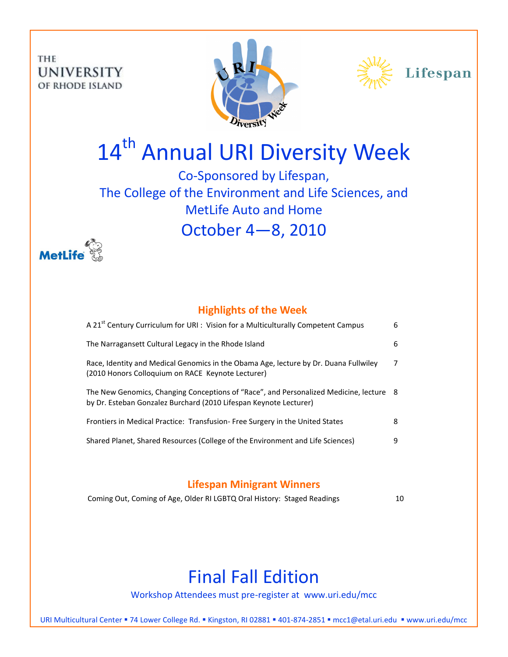THE **UNIVERSITY** OF RHODE ISLAND





# 14<sup>th</sup> Annual URI Diversity Week

Co-Sponsored by Lifespan, The College of the Environment and Life Sciences, and MetLife Auto and Home October 4—8, 2010



## **Highlights of the Week**

| A 21 <sup>st</sup> Century Curriculum for URI : Vision for a Multiculturally Competent Campus                                                               | 6 |
|-------------------------------------------------------------------------------------------------------------------------------------------------------------|---|
| The Narragansett Cultural Legacy in the Rhode Island                                                                                                        | 6 |
| Race, Identity and Medical Genomics in the Obama Age, lecture by Dr. Duana Fullwiley<br>(2010 Honors Colloguium on RACE Keynote Lecturer)                   | 7 |
| The New Genomics, Changing Conceptions of "Race", and Personalized Medicine, lecture 8<br>by Dr. Esteban Gonzalez Burchard (2010 Lifespan Keynote Lecturer) |   |
| Frontiers in Medical Practice: Transfusion-Free Surgery in the United States                                                                                | 8 |
| Shared Planet, Shared Resources (College of the Environment and Life Sciences)                                                                              | 9 |
|                                                                                                                                                             |   |

## **Lifespan Minigrant Winners**

| Coming Out, Coming of Age, Older RI LGBTQ Oral History: Staged Readings | 10 |
|-------------------------------------------------------------------------|----|
|-------------------------------------------------------------------------|----|

# Final Fall Edition

Workshop Attendees must pre-register at www.uri.edu/mcc

URI Multicultural Center = 74 Lower College Rd. = Kingston, RI 02881 = 401-874-2851 = mcc1@etal.uri.edu = www.uri.edu/mcc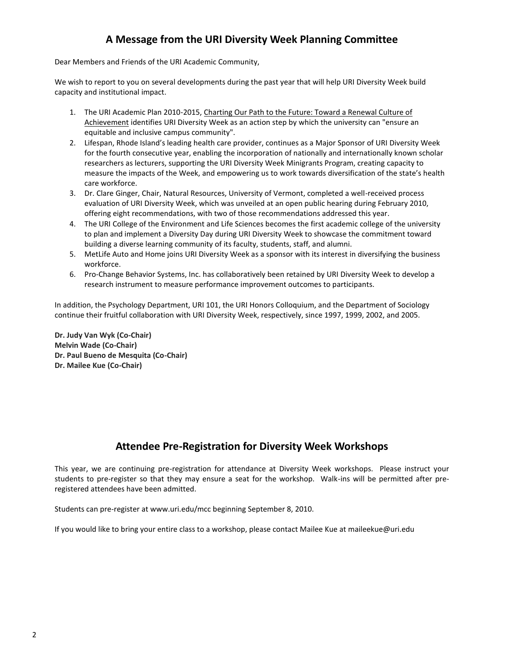#### **A Message from the URI Diversity Week Planning Committee**

Dear Members and Friends of the URI Academic Community,

We wish to report to you on several developments during the past year that will help URI Diversity Week build capacity and institutional impact.

- 1. The URI Academic Plan 2010-2015, Charting Our Path to the Future: Toward a Renewal Culture of Achievement identifies URI Diversity Week as an action step by which the university can "ensure an equitable and inclusive campus community".
- 2. Lifespan, Rhode Island's leading health care provider, continues as a Major Sponsor of URI Diversity Week for the fourth consecutive year, enabling the incorporation of nationally and internationally known scholar researchers as lecturers, supporting the URI Diversity Week Minigrants Program, creating capacity to measure the impacts of the Week, and empowering us to work towards diversification of the state's health care workforce.
- 3. Dr. Clare Ginger, Chair, Natural Resources, University of Vermont, completed a well-received process evaluation of URI Diversity Week, which was unveiled at an open public hearing during February 2010, offering eight recommendations, with two of those recommendations addressed this year.
- 4. The URI College of the Environment and Life Sciences becomes the first academic college of the university to plan and implement a Diversity Day during URI Diversity Week to showcase the commitment toward building a diverse learning community of its faculty, students, staff, and alumni.
- 5. MetLife Auto and Home joins URI Diversity Week as a sponsor with its interest in diversifying the business workforce.
- 6. Pro-Change Behavior Systems, Inc. has collaboratively been retained by URI Diversity Week to develop a research instrument to measure performance improvement outcomes to participants.

In addition, the Psychology Department, URI 101, the URI Honors Colloquium, and the Department of Sociology continue their fruitful collaboration with URI Diversity Week, respectively, since 1997, 1999, 2002, and 2005.

**Dr. Judy Van Wyk (Co-Chair) Melvin Wade (Co-Chair) Dr. Paul Bueno de Mesquita (Co-Chair) Dr. Mailee Kue (Co-Chair)**

#### **Attendee Pre-Registration for Diversity Week Workshops**

This year, we are continuing pre-registration for attendance at Diversity Week workshops. Please instruct your students to pre-register so that they may ensure a seat for the workshop. Walk-ins will be permitted after preregistered attendees have been admitted.

Students can pre-register at www.uri.edu/mcc beginning September 8, 2010.

If you would like to bring your entire class to a workshop, please contact Mailee Kue at maileekue@uri.edu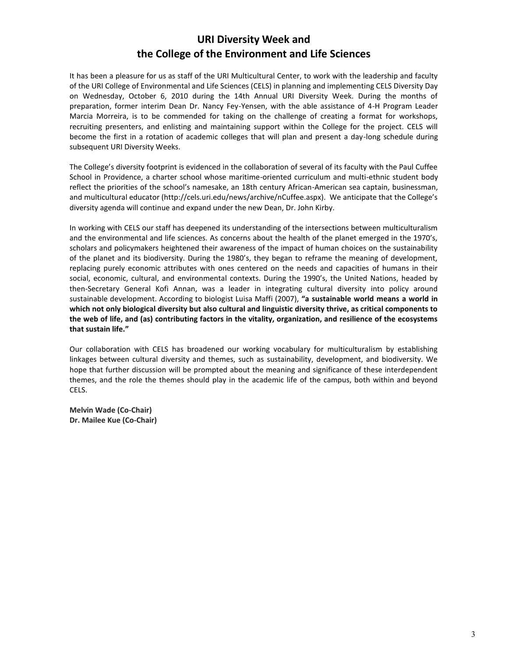#### **URI Diversity Week and the College of the Environment and Life Sciences**

It has been a pleasure for us as staff of the URI Multicultural Center, to work with the leadership and faculty of the URI College of Environmental and Life Sciences (CELS) in planning and implementing CELS Diversity Day on Wednesday, October 6, 2010 during the 14th Annual URI Diversity Week. During the months of preparation, former interim Dean Dr. Nancy Fey-Yensen, with the able assistance of 4-H Program Leader Marcia Morreira, is to be commended for taking on the challenge of creating a format for workshops, recruiting presenters, and enlisting and maintaining support within the College for the project. CELS will become the first in a rotation of academic colleges that will plan and present a day-long schedule during subsequent URI Diversity Weeks.

The College's diversity footprint is evidenced in the collaboration of several of its faculty with the Paul Cuffee School in Providence, a charter school whose maritime-oriented curriculum and multi-ethnic student body reflect the priorities of the school's namesake, an 18th century African-American sea captain, businessman, and multicultural educator (http://cels.uri.edu/news/archive/nCuffee.aspx). We anticipate that the College's diversity agenda will continue and expand under the new Dean, Dr. John Kirby.

In working with CELS our staff has deepened its understanding of the intersections between multiculturalism and the environmental and life sciences. As concerns about the health of the planet emerged in the 1970's, scholars and policymakers heightened their awareness of the impact of human choices on the sustainability of the planet and its biodiversity. During the 1980's, they began to reframe the meaning of development, replacing purely economic attributes with ones centered on the needs and capacities of humans in their social, economic, cultural, and environmental contexts. During the 1990's, the United Nations, headed by then-Secretary General Kofi Annan, was a leader in integrating cultural diversity into policy around sustainable development. According to biologist Luisa Maffi (2007), **"a sustainable world means a world in which not only biological diversity but also cultural and linguistic diversity thrive, as critical components to the web of life, and (as) contributing factors in the vitality, organization, and resilience of the ecosystems that sustain life."** 

Our collaboration with CELS has broadened our working vocabulary for multiculturalism by establishing linkages between cultural diversity and themes, such as sustainability, development, and biodiversity. We hope that further discussion will be prompted about the meaning and significance of these interdependent themes, and the role the themes should play in the academic life of the campus, both within and beyond CELS.

**Melvin Wade (Co-Chair) Dr. Mailee Kue (Co-Chair)**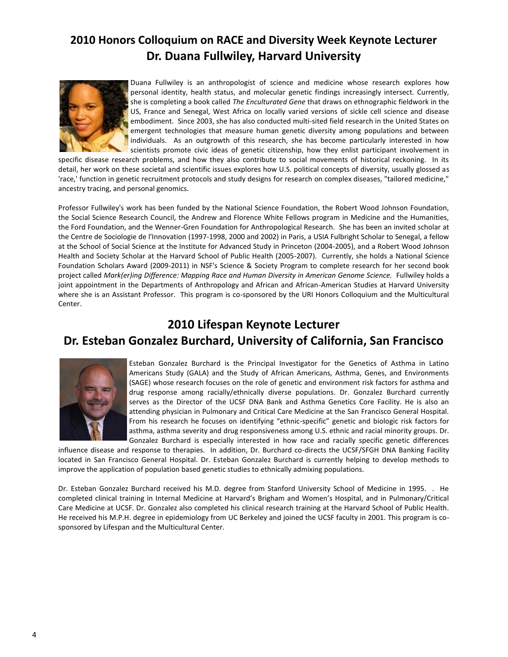## **2010 Honors Colloquium on RACE and Diversity Week Keynote Lecturer Dr. Duana Fullwiley, Harvard University**



Duana Fullwiley is an anthropologist of science and medicine whose research explores how personal identity, health status, and molecular genetic findings increasingly intersect. Currently, she is completing a book called *The Enculturated Gene* that draws on ethnographic fieldwork in the US, France and Senegal, West Africa on locally varied versions of sickle cell science and disease embodiment. Since 2003, she has also conducted multi-sited field research in the United States on emergent technologies that measure human genetic diversity among populations and between individuals. As an outgrowth of this research, she has become particularly interested in how scientists promote civic ideas of genetic citizenship, how they enlist participant involvement in

specific disease research problems, and how they also contribute to social movements of historical reckoning. In its detail, her work on these societal and scientific issues explores how U.S. political concepts of diversity, usually glossed as 'race,' function in genetic recruitment protocols and study designs for research on complex diseases, "tailored medicine," ancestry tracing, and personal genomics.

Professor Fullwiley's work has been funded by the National Science Foundation, the Robert Wood Johnson Foundation, the Social Science Research Council, the Andrew and Florence White Fellows program in Medicine and the Humanities, the Ford Foundation, and the Wenner-Gren Foundation for Anthropological Research. She has been an invited scholar at the Centre de Sociologie de l'Innovation (1997-1998, 2000 and 2002) in Paris, a USIA Fulbright Scholar to Senegal, a fellow at the School of Social Science at the Institute for Advanced Study in Princeton (2004-2005), and a Robert Wood Johnson Health and Society Scholar at the Harvard School of Public Health (2005-2007). Currently, she holds a National Science Foundation Scholars Award (2009-2011) in NSF's Science & Society Program to complete research for her second book project called *Mark(er)ing Difference: Mapping Race and Human Diversity in American Genome Science.* Fullwiley holds a joint appointment in the Departments of Anthropology and African and African-American Studies at Harvard University where she is an Assistant Professor. This program is co-sponsored by the URI Honors Colloquium and the Multicultural Center.

#### **2010 Lifespan Keynote Lecturer**

## **Dr. Esteban Gonzalez Burchard, University of California, San Francisco**



Esteban Gonzalez Burchard is the Principal Investigator for the Genetics of Asthma in Latino Americans Study (GALA) and the Study of African Americans, Asthma, Genes, and Environments (SAGE) whose research focuses on the role of genetic and environment risk factors for asthma and drug response among racially/ethnically diverse populations. Dr. Gonzalez Burchard currently serves as the Director of the UCSF DNA Bank and Asthma Genetics Core Facility. He is also an attending physician in Pulmonary and Critical Care Medicine at the San Francisco General Hospital. From his research he focuses on identifying "ethnic-specific" genetic and biologic risk factors for asthma, asthma severity and drug responsiveness among U.S. ethnic and racial minority groups. Dr. Gonzalez Burchard is especially interested in how race and racially specific genetic differences

influence disease and response to therapies. In addition, Dr. Burchard co-directs the UCSF/SFGH DNA Banking Facility located in San Francisco General Hospital. Dr. Esteban Gonzalez Burchard is currently helping to develop methods to improve the application of population based genetic studies to ethnically admixing populations.

Dr. Esteban Gonzalez Burchard received his M.D. degree from Stanford University School of Medicine in 1995. . He completed clinical training in Internal Medicine at Harvard's Brigham and Women's Hospital, and in Pulmonary/Critical Care Medicine at UCSF. Dr. Gonzalez also completed his clinical research training at the Harvard School of Public Health. He received his M.P.H. degree in epidemiology from UC Berkeley and joined the UCSF faculty in 2001. This program is cosponsored by Lifespan and the Multicultural Center.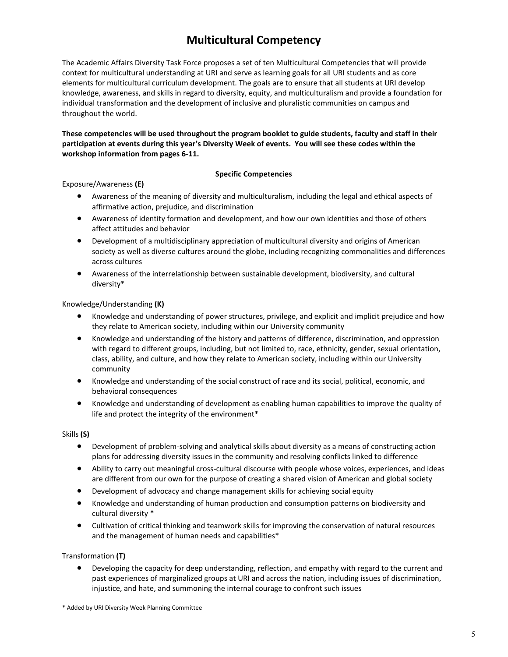## **Multicultural Competency**

The Academic Affairs Diversity Task Force proposes a set of ten Multicultural Competencies that will provide context for multicultural understanding at URI and serve as learning goals for all URI students and as core elements for multicultural curriculum development. The goals are to ensure that all students at URI develop knowledge, awareness, and skills in regard to diversity, equity, and multiculturalism and provide a foundation for individual transformation and the development of inclusive and pluralistic communities on campus and throughout the world.

#### **These competencies will be used throughout the program booklet to guide students, faculty and staff in their participation at events during this year's Diversity Week of events. You will see these codes within the workshop information from pages 6-11.**

#### **Specific Competencies**

Exposure/Awareness **(E)**

- Awareness of the meaning of diversity and multiculturalism, including the legal and ethical aspects of affirmative action, prejudice, and discrimination
- Awareness of identity formation and development, and how our own identities and those of others affect attitudes and behavior
- Development of a multidisciplinary appreciation of multicultural diversity and origins of American society as well as diverse cultures around the globe, including recognizing commonalities and differences across cultures
- Awareness of the interrelationship between sustainable development, biodiversity, and cultural diversity\*

Knowledge/Understanding **(K)**

- Knowledge and understanding of power structures, privilege, and explicit and implicit prejudice and how they relate to American society, including within our University community
- Knowledge and understanding of the history and patterns of difference, discrimination, and oppression with regard to different groups, including, but not limited to, race, ethnicity, gender, sexual orientation, class, ability, and culture, and how they relate to American society, including within our University community
- Knowledge and understanding of the social construct of race and its social, political, economic, and behavioral consequences
- Knowledge and understanding of development as enabling human capabilities to improve the quality of life and protect the integrity of the environment\*

Skills **(S)**

- Development of problem-solving and analytical skills about diversity as a means of constructing action plans for addressing diversity issues in the community and resolving conflicts linked to difference
- Ability to carry out meaningful cross-cultural discourse with people whose voices, experiences, and ideas are different from our own for the purpose of creating a shared vision of American and global society
- Development of advocacy and change management skills for achieving social equity
- Knowledge and understanding of human production and consumption patterns on biodiversity and cultural diversity \*
- Cultivation of critical thinking and teamwork skills for improving the conservation of natural resources and the management of human needs and capabilities\*

Transformation **(T)**

 Developing the capacity for deep understanding, reflection, and empathy with regard to the current and past experiences of marginalized groups at URI and across the nation, including issues of discrimination, injustice, and hate, and summoning the internal courage to confront such issues

\* Added by URI Diversity Week Planning Committee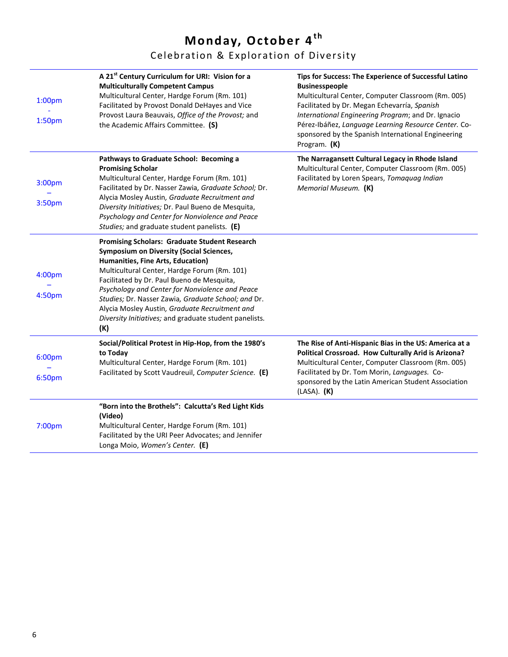# **Monday, October 4th**

Celebration & Exploration of Diversity

| 1:00 <sub>pm</sub><br>1:50 <sub>pm</sub> | A 21 <sup>st</sup> Century Curriculum for URI: Vision for a<br><b>Multiculturally Competent Campus</b><br>Multicultural Center, Hardge Forum (Rm. 101)<br>Facilitated by Provost Donald DeHayes and Vice<br>Provost Laura Beauvais, Office of the Provost; and<br>the Academic Affairs Committee. (S)                                                                                                                                                                   | Tips for Success: The Experience of Successful Latino<br><b>Businesspeople</b><br>Multicultural Center, Computer Classroom (Rm. 005)<br>Facilitated by Dr. Megan Echevarría, Spanish<br>International Engineering Program; and Dr. Ignacio<br>Pérez-Ibáñez, Language Learning Resource Center. Co-<br>sponsored by the Spanish International Engineering<br>Program. (K) |
|------------------------------------------|-------------------------------------------------------------------------------------------------------------------------------------------------------------------------------------------------------------------------------------------------------------------------------------------------------------------------------------------------------------------------------------------------------------------------------------------------------------------------|--------------------------------------------------------------------------------------------------------------------------------------------------------------------------------------------------------------------------------------------------------------------------------------------------------------------------------------------------------------------------|
| 3:00pm<br>3:50pm                         | Pathways to Graduate School: Becoming a<br><b>Promising Scholar</b><br>Multicultural Center, Hardge Forum (Rm. 101)<br>Facilitated by Dr. Nasser Zawia, Graduate School; Dr.<br>Alycia Mosley Austin, Graduate Recruitment and<br>Diversity Initiatives; Dr. Paul Bueno de Mesquita,<br>Psychology and Center for Nonviolence and Peace<br>Studies; and graduate student panelists. (E)                                                                                 | The Narragansett Cultural Legacy in Rhode Island<br>Multicultural Center, Computer Classroom (Rm. 005)<br>Facilitated by Loren Spears, Tomaquag Indian<br>Memorial Museum. (K)                                                                                                                                                                                           |
| 4:00pm<br>4:50pm                         | <b>Promising Scholars: Graduate Student Research</b><br><b>Symposium on Diversity (Social Sciences,</b><br>Humanities, Fine Arts, Education)<br>Multicultural Center, Hardge Forum (Rm. 101)<br>Facilitated by Dr. Paul Bueno de Mesquita,<br>Psychology and Center for Nonviolence and Peace<br>Studies; Dr. Nasser Zawia, Graduate School; and Dr.<br>Alycia Mosley Austin, Graduate Recruitment and<br>Diversity Initiatives; and graduate student panelists.<br>(K) |                                                                                                                                                                                                                                                                                                                                                                          |
| 6:00pm<br>6:50pm                         | Social/Political Protest in Hip-Hop, from the 1980's<br>to Today<br>Multicultural Center, Hardge Forum (Rm. 101)<br>Facilitated by Scott Vaudreuil, Computer Science. (E)                                                                                                                                                                                                                                                                                               | The Rise of Anti-Hispanic Bias in the US: America at a<br>Political Crossroad. How Culturally Arid is Arizona?<br>Multicultural Center, Computer Classroom (Rm. 005)<br>Facilitated by Dr. Tom Morin, Languages. Co-<br>sponsored by the Latin American Student Association<br>$(LASA)$ . $(K)$                                                                          |
| 7:00pm                                   | "Born into the Brothels": Calcutta's Red Light Kids<br>(Video)<br>Multicultural Center, Hardge Forum (Rm. 101)<br>Facilitated by the URI Peer Advocates; and Jennifer<br>Longa Moio, Women's Center. (E)                                                                                                                                                                                                                                                                |                                                                                                                                                                                                                                                                                                                                                                          |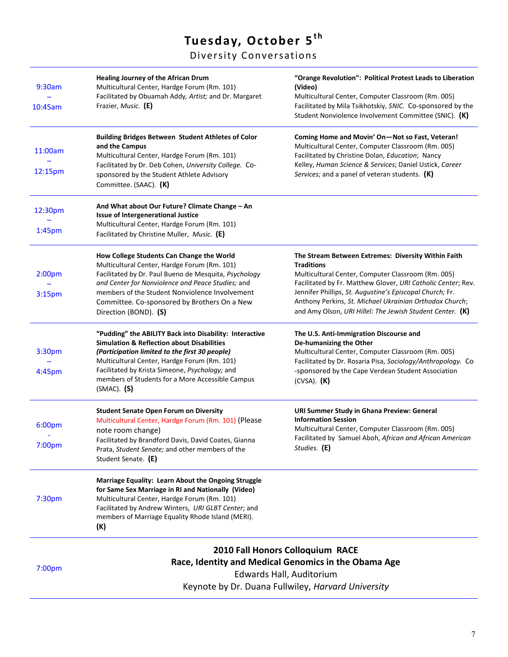# **Tuesday, October 5th**

Diversity Conversations

| 9:30am             | Healing Journey of the African Drum<br>Multicultural Center, Hardge Forum (Rm. 101)<br>Facilitated by Obuamah Addy, Artist; and Dr. Margaret                    | "Orange Revolution": Political Protest Leads to Liberation<br>(Video)<br>Multicultural Center, Computer Classroom (Rm. 005)                               |  |
|--------------------|-----------------------------------------------------------------------------------------------------------------------------------------------------------------|-----------------------------------------------------------------------------------------------------------------------------------------------------------|--|
| 10:45am            | Frazier, Music. (E)                                                                                                                                             | Facilitated by Mila Tsikhotskiy, SNIC. Co-sponsored by the<br>Student Nonviolence Involvement Committee (SNIC). (K)                                       |  |
| 11:00am            | <b>Building Bridges Between Student Athletes of Color</b><br>and the Campus<br>Multicultural Center, Hardge Forum (Rm. 101)                                     | Coming Home and Movin' On-Not so Fast, Veteran!<br>Multicultural Center, Computer Classroom (Rm. 005)<br>Facilitated by Christine Dolan, Education; Nancy |  |
| 12:15pm            | Facilitated by Dr. Deb Cohen, University College. Co-<br>sponsored by the Student Athlete Advisory<br>Committee. (SAAC). (K)                                    | Kelley, Human Science & Services; Daniel Ustick, Career<br>Services; and a panel of veteran students. (K)                                                 |  |
| 12:30pm            | And What about Our Future? Climate Change - An<br><b>Issue of Intergenerational Justice</b>                                                                     |                                                                                                                                                           |  |
| 1:45 <sub>pm</sub> | Multicultural Center, Hardge Forum (Rm. 101)<br>Facilitated by Christine Muller, Music. (E)                                                                     |                                                                                                                                                           |  |
|                    | How College Students Can Change the World<br>Multicultural Center, Hardge Forum (Rm. 101)                                                                       | The Stream Between Extremes: Diversity Within Faith<br><b>Traditions</b>                                                                                  |  |
| 2:00 <sub>pm</sub> | Facilitated by Dr. Paul Bueno de Mesquita, Psychology<br>and Center for Nonviolence and Peace Studies; and                                                      | Multicultural Center, Computer Classroom (Rm. 005)<br>Facilitated by Fr. Matthew Glover, URI Catholic Center; Rev.                                        |  |
| 3:15pm             | members of the Student Nonviolence Involvement<br>Committee. Co-sponsored by Brothers On a New                                                                  | Jennifer Phillips, St. Augustine's Episcopal Church; Fr.<br>Anthony Perkins, St. Michael Ukrainian Orthodox Church;                                       |  |
|                    | Direction (BOND). (S)                                                                                                                                           | and Amy Olson, URI Hillel: The Jewish Student Center. (K)                                                                                                 |  |
|                    | "Pudding" the ABILITY Back into Disability: Interactive<br><b>Simulation &amp; Reflection about Disabilities</b>                                                | The U.S. Anti-Immigration Discourse and<br>De-humanizing the Other                                                                                        |  |
| 3:30pm             | (Participation limited to the first 30 people)<br>Multicultural Center, Hardge Forum (Rm. 101)                                                                  | Multicultural Center, Computer Classroom (Rm. 005)<br>Facilitated by Dr. Rosaria Pisa, Sociology/Anthropology. Co                                         |  |
| 4:45pm             | Facilitated by Krista Simeone, Psychology; and<br>members of Students for a More Accessible Campus<br>$(SMAC).$ $(S)$                                           | -sponsored by the Cape Verdean Student Association<br>$(CVSA)$ . $(K)$                                                                                    |  |
|                    | <b>Student Senate Open Forum on Diversity</b><br>Multicultural Center, Hardge Forum (Rm. 101) (Please                                                           | URI Summer Study in Ghana Preview: General<br><b>Information Session</b>                                                                                  |  |
| 6:00pm             | note room change)                                                                                                                                               | Multicultural Center, Computer Classroom (Rm. 005)                                                                                                        |  |
| 7:00 <sub>pm</sub> | Facilitated by Brandford Davis, David Coates, Gianna<br>Prata, Student Senate; and other members of the<br>Student Senate. (E)                                  | Facilitated by Samuel Aboh, African and African American<br>Studies. (E)                                                                                  |  |
|                    | Marriage Equality: Learn About the Ongoing Struggle<br>for Same Sex Marriage in RI and Nationally (Video)                                                       |                                                                                                                                                           |  |
| 7:30pm             | Multicultural Center, Hardge Forum (Rm. 101)<br>Facilitated by Andrew Winters, URI GLBT Center; and<br>members of Marriage Equality Rhode Island (MERI).<br>(K) |                                                                                                                                                           |  |
|                    |                                                                                                                                                                 | 2010 Fall Honors Colloquium RACE                                                                                                                          |  |
| 7:00 <sub>pm</sub> | Race, Identity and Medical Genomics in the Obama Age                                                                                                            |                                                                                                                                                           |  |
|                    | Edwards Hall, Auditorium<br>Keynote by Dr. Duana Fullwiley, Harvard University                                                                                  |                                                                                                                                                           |  |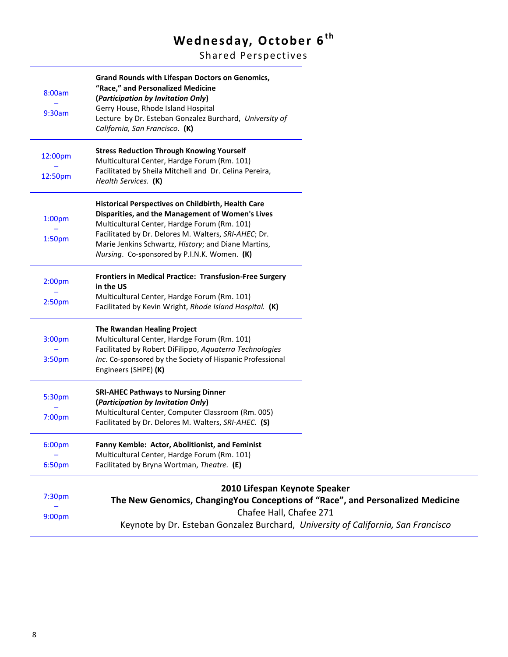# **Wednesday, October 6th**

Shared Perspectives

| 8:00am             | <b>Grand Rounds with Lifespan Doctors on Genomics,</b><br>"Race," and Personalized Medicine<br>(Participation by Invitation Only)                           |  |
|--------------------|-------------------------------------------------------------------------------------------------------------------------------------------------------------|--|
| 9:30am             | Gerry House, Rhode Island Hospital<br>Lecture by Dr. Esteban Gonzalez Burchard, University of<br>California, San Francisco. (K)                             |  |
| 12:00pm            | <b>Stress Reduction Through Knowing Yourself</b><br>Multicultural Center, Hardge Forum (Rm. 101)                                                            |  |
| 12:50pm            | Facilitated by Sheila Mitchell and Dr. Celina Pereira,<br>Health Services. (K)                                                                              |  |
| 1:00 <sub>pm</sub> | Historical Perspectives on Childbirth, Health Care<br>Disparities, and the Management of Women's Lives<br>Multicultural Center, Hardge Forum (Rm. 101)      |  |
| 1:50pm             | Facilitated by Dr. Delores M. Walters, SRI-AHEC; Dr.<br>Marie Jenkins Schwartz, History; and Diane Martins,<br>Nursing. Co-sponsored by P.I.N.K. Women. (K) |  |
| 2:00 <sub>pm</sub> | <b>Frontiers in Medical Practice: Transfusion-Free Surgery</b><br>in the US                                                                                 |  |
| 2:50 <sub>pm</sub> | Multicultural Center, Hardge Forum (Rm. 101)<br>Facilitated by Kevin Wright, Rhode Island Hospital. (K)                                                     |  |
| 3:00pm             | <b>The Rwandan Healing Project</b><br>Multicultural Center, Hardge Forum (Rm. 101)<br>Facilitated by Robert DiFilippo, Aquaterra Technologies               |  |
| 3:50pm             | Inc. Co-sponsored by the Society of Hispanic Professional<br>Engineers (SHPE) (K)                                                                           |  |
| 5:30pm             | <b>SRI-AHEC Pathways to Nursing Dinner</b><br>(Participation by Invitation Only)                                                                            |  |
| 7:00pm             | Multicultural Center, Computer Classroom (Rm. 005)<br>Facilitated by Dr. Delores M. Walters, SRI-AHEC. (S)                                                  |  |
| 6:00pm             | <b>Fanny Kemble: Actor, Abolitionist, and Feminist</b><br>Multicultural Center, Hardge Forum (Rm. 101)                                                      |  |
| 6:50pm             | Facilitated by Bryna Wortman, Theatre. (E)                                                                                                                  |  |
| 7:30pm             | 2010 Lifespan Keynote Speaker<br>The New Genomics, ChangingYou Conceptions of "Race", and Personalized Medicine                                             |  |
| 9:00pm             | Chafee Hall, Chafee 271<br>Keynote by Dr. Esteban Gonzalez Burchard, University of California, San Francisco                                                |  |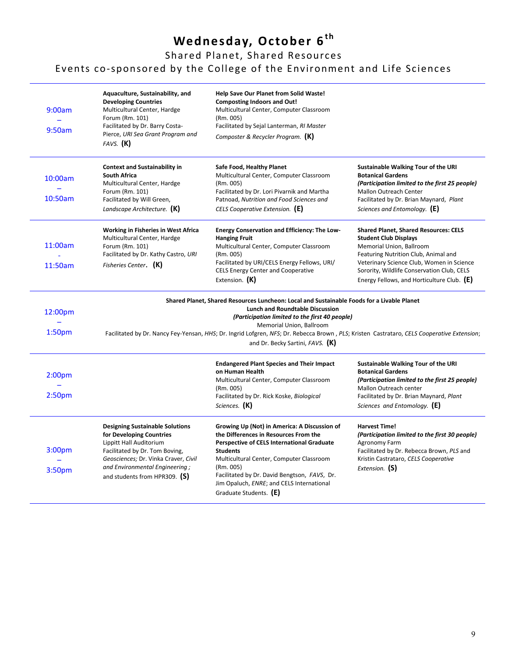# **Wednesday, October 6th** Shared Planet, Shared Resources

## Events co-sponsored by the College of the Environment and Life Sciences

| 9:00am<br>9:50am                         | Aquaculture, Sustainability, and<br><b>Developing Countries</b><br>Multicultural Center, Hardge<br>Forum (Rm. 101)<br>Facilitated by Dr. Barry Costa-<br>Pierce, URI Sea Grant Program and<br>$FAVS.$ (K)                                                                                                                                                                                            | Help Save Our Planet from Solid Waste!<br><b>Composting Indoors and Out!</b><br>Multicultural Center, Computer Classroom<br>(Rm. 005)<br>Facilitated by Sejal Lanterman, RI Master<br>Composter & Recycler Program. (K)                                                                                                                       |                                                                                                                                                                                                                                                                                           |
|------------------------------------------|------------------------------------------------------------------------------------------------------------------------------------------------------------------------------------------------------------------------------------------------------------------------------------------------------------------------------------------------------------------------------------------------------|-----------------------------------------------------------------------------------------------------------------------------------------------------------------------------------------------------------------------------------------------------------------------------------------------------------------------------------------------|-------------------------------------------------------------------------------------------------------------------------------------------------------------------------------------------------------------------------------------------------------------------------------------------|
| 10:00am<br>10:50am                       | <b>Context and Sustainability in</b><br><b>South Africa</b><br>Multicultural Center, Hardge<br>Forum (Rm. 101)<br>Facilitated by Will Green,<br>Landscape Architecture. $(K)$                                                                                                                                                                                                                        | Safe Food, Healthy Planet<br>Multicultural Center, Computer Classroom<br>(Rm. 005)<br>Facilitated by Dr. Lori Pivarnik and Martha<br>Patnoad, Nutrition and Food Sciences and<br>CELS Cooperative Extension. (E)                                                                                                                              | Sustainable Walking Tour of the URI<br><b>Botanical Gardens</b><br>(Participation limited to the first 25 people)<br>Mallon Outreach Center<br>Facilitated by Dr. Brian Maynard, Plant<br>Sciences and Entomology. (E)                                                                    |
| 11:00am<br>11:50am                       | Working in Fisheries in West Africa<br>Multicultural Center, Hardge<br>Forum (Rm. 101)<br>Facilitated by Dr. Kathy Castro, URI<br>Fisheries Center. (K)                                                                                                                                                                                                                                              | <b>Energy Conservation and Efficiency: The Low-</b><br><b>Hanging Fruit</b><br>Multicultural Center, Computer Classroom<br>(Rm. 005)<br>Facilitated by URI/CELS Energy Fellows, URI/<br><b>CELS Energy Center and Cooperative</b><br>Extension. (K)                                                                                           | <b>Shared Planet, Shared Resources: CELS</b><br><b>Student Club Displays</b><br>Memorial Union, Ballroom<br>Featuring Nutrition Club, Animal and<br>Veterinary Science Club, Women in Science<br>Sorority, Wildlife Conservation Club, CELS<br>Energy Fellows, and Horticulture Club. (E) |
| 12:00pm<br>1:50 <sub>pm</sub>            | Shared Planet, Shared Resources Luncheon: Local and Sustainable Foods for a Livable Planet<br><b>Lunch and Roundtable Discussion</b><br>(Participation limited to the first 40 people)<br>Memorial Union, Ballroom<br>Facilitated by Dr. Nancy Fey-Yensan, HHS; Dr. Ingrid Lofgren, NFS; Dr. Rebecca Brown, PLS; Kristen Castrataro, CELS Cooperative Extension;<br>and Dr. Becky Sartini, FAVS. (K) |                                                                                                                                                                                                                                                                                                                                               |                                                                                                                                                                                                                                                                                           |
| 2:00 <sub>pm</sub><br>2:50 <sub>pm</sub> |                                                                                                                                                                                                                                                                                                                                                                                                      | <b>Endangered Plant Species and Their Impact</b><br>on Human Health<br>Multicultural Center, Computer Classroom<br>(Rm. 005)<br>Facilitated by Dr. Rick Koske, Biological<br>Sciences. (K)                                                                                                                                                    | Sustainable Walking Tour of the URI<br><b>Botanical Gardens</b><br>(Participation limited to the first 25 people)<br>Mallon Outreach center<br>Facilitated by Dr. Brian Maynard, Plant<br>Sciences and Entomology. (E)                                                                    |
| 3:00 <sub>pm</sub><br>3:50 <sub>pm</sub> | <b>Designing Sustainable Solutions</b><br>for Developing Countries<br>Lippitt Hall Auditorium<br>Facilitated by Dr. Tom Boving,<br>Geosciences; Dr. Vinka Craver, Civil<br>and Environmental Engineering;<br>and students from HPR309. (S)                                                                                                                                                           | Growing Up (Not) in America: A Discussion of<br>the Differences in Resources From the<br><b>Perspective of CELS International Graduate</b><br><b>Students</b><br>Multicultural Center, Computer Classroom<br>(Rm. 005)<br>Facilitated by Dr. David Bengtson, FAVS, Dr.<br>Jim Opaluch, ENRE; and CELS International<br>Graduate Students. (E) | <b>Harvest Time!</b><br>(Participation limited to the first 30 people)<br>Agronomy Farm<br>Facilitated by Dr. Rebecca Brown, PLS and<br>Kristin Castrataro, CELS Cooperative<br>Extension. (S)                                                                                            |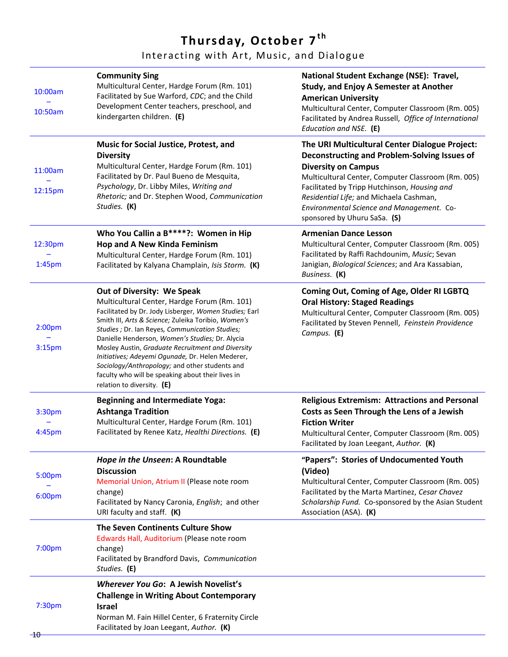# **Thursday, October 7th**

#### Interacting with Art, Music, and Dialogue

| 10:00am<br>10:50am                       | <b>Community Sing</b><br>Multicultural Center, Hardge Forum (Rm. 101)<br>Facilitated by Sue Warford, CDC; and the Child<br>Development Center teachers, preschool, and<br>kindergarten children. (E)                                                                                                                                                                                                                                                                                                                                              | National Student Exchange (NSE): Travel,<br><b>Study, and Enjoy A Semester at Another</b><br><b>American University</b><br>Multicultural Center, Computer Classroom (Rm. 005)<br>Facilitated by Andrea Russell, Office of International<br>Education and NSE. (E)                                                                                          |
|------------------------------------------|---------------------------------------------------------------------------------------------------------------------------------------------------------------------------------------------------------------------------------------------------------------------------------------------------------------------------------------------------------------------------------------------------------------------------------------------------------------------------------------------------------------------------------------------------|------------------------------------------------------------------------------------------------------------------------------------------------------------------------------------------------------------------------------------------------------------------------------------------------------------------------------------------------------------|
| 11:00am<br>12:15pm                       | Music for Social Justice, Protest, and<br><b>Diversity</b><br>Multicultural Center, Hardge Forum (Rm. 101)<br>Facilitated by Dr. Paul Bueno de Mesquita,<br>Psychology, Dr. Libby Miles, Writing and<br>Rhetoric; and Dr. Stephen Wood, Communication<br>Studies. (K)                                                                                                                                                                                                                                                                             | The URI Multicultural Center Dialogue Project:<br>Deconstructing and Problem-Solving Issues of<br><b>Diversity on Campus</b><br>Multicultural Center, Computer Classroom (Rm. 005)<br>Facilitated by Tripp Hutchinson, Housing and<br>Residential Life; and Michaela Cashman,<br>Environmental Science and Management. Co-<br>sponsored by Uhuru SaSa. (S) |
| 12:30pm<br>1:45 <sub>pm</sub>            | Who You Callin a B****?: Women in Hip<br>Hop and A New Kinda Feminism<br>Multicultural Center, Hardge Forum (Rm. 101)<br>Facilitated by Kalyana Champlain, Isis Storm. (K)                                                                                                                                                                                                                                                                                                                                                                        | <b>Armenian Dance Lesson</b><br>Multicultural Center, Computer Classroom (Rm. 005)<br>Facilitated by Raffi Rachdounim, Music; Sevan<br>Janigian, Biological Sciences; and Ara Kassabian,<br>Business. (K)                                                                                                                                                  |
| 2:00 <sub>pm</sub><br>3:15 <sub>pm</sub> | Out of Diversity: We Speak<br>Multicultural Center, Hardge Forum (Rm. 101)<br>Facilitated by Dr. Jody Lisberger, Women Studies; Earl<br>Smith III, Arts & Science; Zuleika Toribio, Women's<br>Studies ; Dr. Ian Reyes, Communication Studies;<br>Danielle Henderson, Women's Studies; Dr. Alycia<br>Mosley Austin, Graduate Recruitment and Diversity<br>Initiatives; Adeyemi Ogunade, Dr. Helen Mederer,<br>Sociology/Anthropology; and other students and<br>faculty who will be speaking about their lives in<br>relation to diversity. $(E)$ | Coming Out, Coming of Age, Older RI LGBTQ<br><b>Oral History: Staged Readings</b><br>Multicultural Center, Computer Classroom (Rm. 005)<br>Facilitated by Steven Pennell, Feinstein Providence<br>Campus. (E)                                                                                                                                              |
| 3:30pm<br>4:45pm                         | <b>Beginning and Intermediate Yoga:</b><br><b>Ashtanga Tradition</b><br>Multicultural Center, Hardge Forum (Rm. 101)<br>Facilitated by Renee Katz, Healthi Directions. (E)                                                                                                                                                                                                                                                                                                                                                                        | <b>Religious Extremism: Attractions and Personal</b><br>Costs as Seen Through the Lens of a Jewish<br><b>Fiction Writer</b><br>Multicultural Center, Computer Classroom (Rm. 005)<br>Facilitated by Joan Leegant, Author. (K)                                                                                                                              |
| 5:00pm<br>6:00pm                         | Hope in the Unseen: A Roundtable<br><b>Discussion</b><br>Memorial Union, Atrium II (Please note room<br>change)<br>Facilitated by Nancy Caronia, English; and other<br>URI faculty and staff. (K)                                                                                                                                                                                                                                                                                                                                                 | "Papers": Stories of Undocumented Youth<br>(Video)<br>Multicultural Center, Computer Classroom (Rm. 005)<br>Facilitated by the Marta Martinez, Cesar Chavez<br>Scholarship Fund. Co-sponsored by the Asian Student<br>Association (ASA). (K)                                                                                                               |
| 7:00pm                                   | The Seven Continents Culture Show<br>Edwards Hall, Auditorium (Please note room<br>change)<br>Facilitated by Brandford Davis, Communication<br>Studies. (E)                                                                                                                                                                                                                                                                                                                                                                                       |                                                                                                                                                                                                                                                                                                                                                            |
| 7:30 <sub>pm</sub><br>$\pm 0$            | <b>Wherever You Go: A Jewish Novelist's</b><br><b>Challenge in Writing About Contemporary</b><br><b>Israel</b><br>Norman M. Fain Hillel Center, 6 Fraternity Circle<br>Facilitated by Joan Leegant, Author. (K)                                                                                                                                                                                                                                                                                                                                   |                                                                                                                                                                                                                                                                                                                                                            |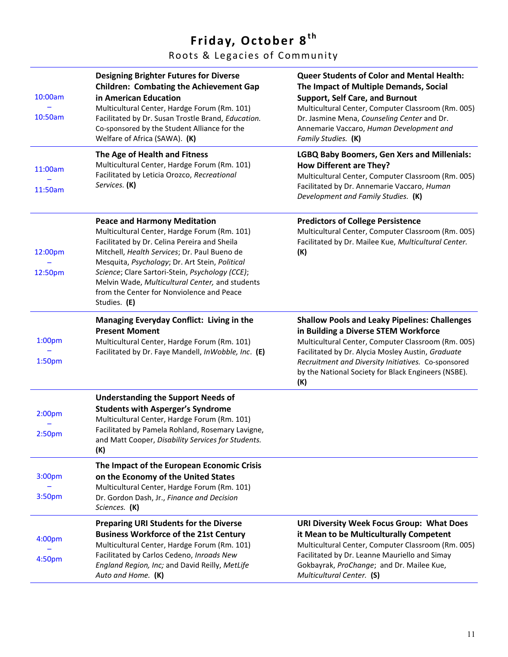# **Friday, October 8th**

Roots & Legacies of Community

| 10:00am<br>10:50am                       | <b>Designing Brighter Futures for Diverse</b><br><b>Children: Combating the Achievement Gap</b><br>in American Education<br>Multicultural Center, Hardge Forum (Rm. 101)<br>Facilitated by Dr. Susan Trostle Brand, Education.<br>Co-sponsored by the Student Alliance for the<br>Welfare of Africa (SAWA). (K)                                                                                          | <b>Queer Students of Color and Mental Health:</b><br>The Impact of Multiple Demands, Social<br><b>Support, Self Care, and Burnout</b><br>Multicultural Center, Computer Classroom (Rm. 005)<br>Dr. Jasmine Mena, Counseling Center and Dr.<br>Annemarie Vaccaro, Human Development and<br>Family Studies. (K)                |
|------------------------------------------|----------------------------------------------------------------------------------------------------------------------------------------------------------------------------------------------------------------------------------------------------------------------------------------------------------------------------------------------------------------------------------------------------------|------------------------------------------------------------------------------------------------------------------------------------------------------------------------------------------------------------------------------------------------------------------------------------------------------------------------------|
| 11:00am<br>11:50am                       | The Age of Health and Fitness<br>Multicultural Center, Hardge Forum (Rm. 101)<br>Facilitated by Leticia Orozco, Recreational<br>Services. (K)                                                                                                                                                                                                                                                            | <b>LGBQ Baby Boomers, Gen Xers and Millenials:</b><br>How Different are They?<br>Multicultural Center, Computer Classroom (Rm. 005)<br>Facilitated by Dr. Annemarie Vaccaro, Human<br>Development and Family Studies. (K)                                                                                                    |
| 12:00pm<br>12:50pm                       | <b>Peace and Harmony Meditation</b><br>Multicultural Center, Hardge Forum (Rm. 101)<br>Facilitated by Dr. Celina Pereira and Sheila<br>Mitchell, Health Services; Dr. Paul Bueno de<br>Mesquita, Psychology; Dr. Art Stein, Political<br>Science; Clare Sartori-Stein, Psychology (CCE);<br>Melvin Wade, Multicultural Center, and students<br>from the Center for Nonviolence and Peace<br>Studies. (E) | <b>Predictors of College Persistence</b><br>Multicultural Center, Computer Classroom (Rm. 005)<br>Facilitated by Dr. Mailee Kue, Multicultural Center.<br>(K)                                                                                                                                                                |
| 1:00 <sub>pm</sub><br>1:50pm             | <b>Managing Everyday Conflict: Living in the</b><br><b>Present Moment</b><br>Multicultural Center, Hardge Forum (Rm. 101)<br>Facilitated by Dr. Faye Mandell, InWobble, Inc. (E)                                                                                                                                                                                                                         | <b>Shallow Pools and Leaky Pipelines: Challenges</b><br>in Building a Diverse STEM Workforce<br>Multicultural Center, Computer Classroom (Rm. 005)<br>Facilitated by Dr. Alycia Mosley Austin, Graduate<br>Recruitment and Diversity Initiatives. Co-sponsored<br>by the National Society for Black Engineers (NSBE).<br>(K) |
| 2:00 <sub>pm</sub><br>2:50 <sub>pm</sub> | <b>Understanding the Support Needs of</b><br><b>Students with Asperger's Syndrome</b><br>Multicultural Center, Hardge Forum (Rm. 101)<br>Facilitated by Pamela Rohland, Rosemary Lavigne,<br>and Matt Cooper, Disability Services for Students.<br>(K)                                                                                                                                                   |                                                                                                                                                                                                                                                                                                                              |
| 3:00pm<br>3:50pm                         | The Impact of the European Economic Crisis<br>on the Economy of the United States<br>Multicultural Center, Hardge Forum (Rm. 101)<br>Dr. Gordon Dash, Jr., Finance and Decision<br>Sciences. (K)                                                                                                                                                                                                         |                                                                                                                                                                                                                                                                                                                              |
| 4:00pm<br>4:50pm                         | <b>Preparing URI Students for the Diverse</b><br><b>Business Workforce of the 21st Century</b><br>Multicultural Center, Hardge Forum (Rm. 101)<br>Facilitated by Carlos Cedeno, Inroads New<br>England Region, Inc; and David Reilly, MetLife<br>Auto and Home. (K)                                                                                                                                      | <b>URI Diversity Week Focus Group: What Does</b><br>it Mean to be Multiculturally Competent<br>Multicultural Center, Computer Classroom (Rm. 005)<br>Facilitated by Dr. Leanne Mauriello and Simay<br>Gokbayrak, ProChange; and Dr. Mailee Kue,<br>Multicultural Center. (S)                                                 |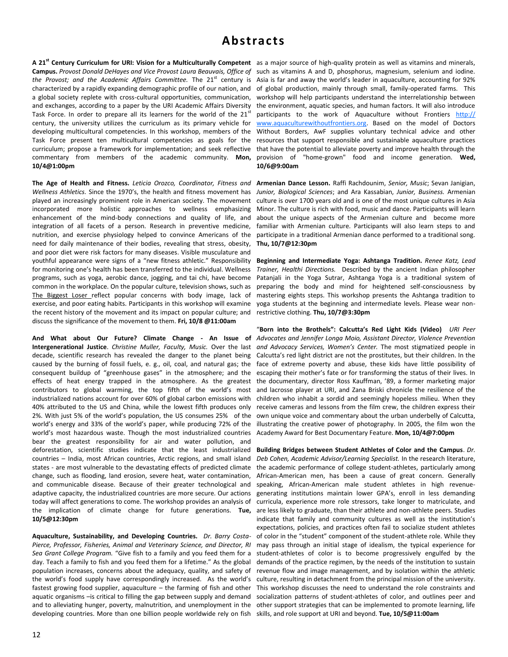and exchanges, according to a paper by the URI Academic Affairs Diversity Task Force. In order to prepare all its learners for the world of the  $21<sup>s</sup>$ century, the university utilizes the curriculum as its primary vehicle for developing multicultural competencies. In this workshop, members of the Task Force present ten multicultural competencies as goals for the curriculum; propose a framework for implementation; and seek reflective commentary from members of the academic community. **Mon, 10/4@1:00pm**

**The Age of Health and Fitness.** *Leticia Orozco, Coordinator, Fitness and Wellness Athletics.* Since the 1970's, the health and fitness movement has played an increasingly prominent role in American society. The movement incorporated more holistic approaches to wellness emphasizing enhancement of the mind-body connections and quality of life, and integration of all facets of a person. Research in preventive medicine, nutrition, and exercise physiology helped to convince Americans of the need for daily maintenance of their bodies, revealing that stress, obesity, and poor diet were risk factors for many diseases. Visible musculature and youthful appearance were signs of a "new fitness athletic." Responsibility for monitoring one's health has been transferred to the individual. Wellness programs, such as yoga, aerobic dance, jogging, and tai chi, have become common in the workplace. On the popular culture, television shows, such as The Biggest Loser reflect popular concerns with body image, lack of exercise, and poor eating habits. Participants in this workshop will examine the recent history of the movement and its impact on popular culture; and discuss the significance of the movement to them. **Fri, 10/8 @11:00am**

**And What about Our Future? Climate Change - An Issue of Intergenerational Justice**. *Christine Muller, Faculty, Music.* Over the last decade, scientific research has revealed the danger to the planet being caused by the burning of fossil fuels, e. g., oil, coal, and natural gas; the consequent buildup of "greenhouse gases" in the atmosphere; and the effects of heat energy trapped in the atmosphere. As the greatest contributors to global warming, the top fifth of the world's most industrialized nations account for over 60% of global carbon emissions with 40% attributed to the US and China, while the lowest fifth produces only 2%. With just 5% of the world's population, the US consumes 25% of the world's energy and 33% of the world's paper, while producing 72% of the world's most hazardous waste. Though the most industrialized countries bear the greatest responsibility for air and water pollution, and deforestation, scientific studies indicate that the least industrialized countries – India, most African countries, Arctic regions, and small island states - are most vulnerable to the devastating effects of predicted climate change, such as flooding, land erosion, severe heat, water contamination, and communicable disease. Because of their greater technological and adaptive capacity, the industrialized countries are more secure. Our actions today will affect generations to come. The workshop provides an analysis of the implication of climate change for future generations. **Tue, 10/5@12:30pm**

**Aquaculture, Sustainability, and Developing Countries.** *Dr. Barry Costa-Pierce, Professor, Fisheries, Animal and Veterinary Science, and Director, RI Sea Grant College Program.* "Give fish to a family and you feed them for a day. Teach a family to fish and you feed them for a lifetime." As the global population increases, concerns about the adequacy, quality, and safety of the world's food supply have correspondingly increased. As the world's fastest growing food supplier, aquaculture – the farming of fish and other aquatic organisms –is critical to filling the gap between supply and demand and to alleviating hunger, poverty, malnutrition, and unemployment in the developing countries. More than one billion people worldwide rely on fish skills, and role support at URI and beyond. **Tue, 10/5@11:00am**

A 21<sup>st</sup> Century Curriculum for URI: Vision for a Multiculturally Competent as a major source of high-quality protein as well as vitamins and minerals, Campus. Provost Donald DeHayes and Vice Provost Laura Beauvais, Office of such as vitamins A and D, phosphorus, magnesium, selenium and iodine. the Provost; and the Academic Affairs Committee. The 21<sup>st</sup> century is Asia is far and away the world's leader in aquaculture, accounting for 92% characterized by a rapidly expanding demographic profile of our nation, and of global production, mainly through small, family-operated farms. This a global society replete with cross-cultural opportunities, communication, workshop will help participants understand the interrelationship between the environment, aquatic species, and human factors. It will also introduce participants to the work of Aquaculture without Frontiers [http://](http://www.aquaculturewithoutfrontiers.org/) [www.aquaculturewithoutfrontiers.org.](http://www.aquaculturewithoutfrontiers.org/) Based on the model of Doctors Without Borders, AwF supplies voluntary technical advice and other resources that support responsible and sustainable aquaculture practices that have the potential to alleviate poverty and improve health through the provision of "home-grown" food and income generation. **Wed, 10/6@9:00am**

> **Armenian Dance Lesson.** Raffi Rachdounim, *Senior, Music*; Sevan Janigian, *Junior, Biological Sciences*; and Ara Kassabian, *Junior, Business.* Armenian culture is over 1700 years old and is one of the most unique cultures in Asia Minor. The culture is rich with food, music and dance. Participants will learn about the unique aspects of the Armenian culture and become more familiar with Armenian culture. Participants will also learn steps to and participate in a traditional Armenian dance performed to a traditional song. **Thu, 10/7@12:30pm**

> **Beginning and Intermediate Yoga: Ashtanga Tradition.** *Renee Katz, Lead Trainer, Healthi Directions.* Described by the ancient Indian philosopher Patanjali in the Yoga Sutrar, Ashtanga Yoga is a traditional system of preparing the body and mind for heightened self-consciousness by mastering eights steps. This workshop presents the Ashtanga tradition to yoga students at the beginning and intermediate levels. Please wear nonrestrictive clothing. **Thu, 10/7@3:30pm**

> "**Born into the Brothels": Calcutta's Red Light Kids (Video)** *URI Peer Advocates and Jennifer Longa Moio, Assistant Director, Violence Prevention and Advocacy Services, Women's Center.* The most stigmatized people in Calcutta's red light district are not the prostitutes, but their children. In the face of extreme poverty and abuse, these kids have little possibility of escaping their mother's fate or for transforming the status of their lives. In the documentary, director Ross Kauffman, '89, a former marketing major and lacrosse player at URI, and Zana Briski chronicle the resilience of the children who inhabit a sordid and seemingly hopeless milieu. When they receive cameras and lessons from the film crew, the children express their own unique voice and commentary about the urban underbelly of Calcutta, illustrating the creative power of photography. In 2005, the film won the Academy Award for Best Documentary Feature. **Mon, 10/4@7:00pm**

> **Building Bridges between Student Athletes of Color and the Campus**. *Dr. Deb Cohen, Academic Advisor/Learning Specialist.* In the research literature, the academic performance of college student-athletes, particularly among African-American men, has been a cause of great concern. Generally speaking, African-American male student athletes in high revenuegenerating institutions maintain lower GPA's, enroll in less demanding curricula, experience more role stressors, take longer to matriculate, and are less likely to graduate, than their athlete and non-athlete peers. Studies indicate that family and community cultures as well as the institution's expectations, policies, and practices often fail to socialize student athletes of color in the "student" component of the student-athlete role. While they may pass through an initial stage of idealism, the typical experience for student-athletes of color is to become progressively engulfed by the demands of the practice regimen, by the needs of the institution to sustain revenue flow and image management, and by isolation within the athletic culture, resulting in detachment from the principal mission of the university. This workshop discusses the need to understand the role constraints and socialization patterns of student-athletes of color, and outlines peer and other support strategies that can be implemented to promote learning, life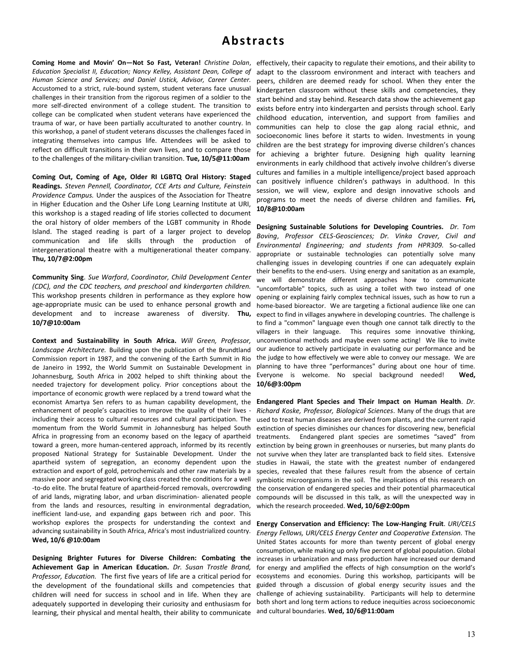**Coming Home and Movin' On—Not So Fast, Veteran!** *Christine Dolan*, *Education Specialist II, Education; Nancy Kelley, Assistant Dean, College of Human Science and Services; and Daniel Ustick, Advisor, Career Center.* Accustomed to a strict, rule-bound system, student veterans face unusual challenges in their transition from the rigorous regimen of a soldier to the more self-directed environment of a college student. The transition to college can be complicated when student veterans have experienced the trauma of war, or have been partially acculturated to another country. In this workshop, a panel of student veterans discusses the challenges faced in integrating themselves into campus life. Attendees will be asked to reflect on difficult transitions in their own lives, and to compare those to the challenges of the military-civilian transition. **Tue, 10/5@11:00am**

**Coming Out, Coming of Age, Older RI LGBTQ Oral History: Staged Readings.** *Steven Pennell, Coordinator, CCE Arts and Culture, Feinstein Providence Campus.* Under the auspices of the Association for Theatre in Higher Education and the Osher Life Long Learning Institute at URI, this workshop is a staged reading of life stories collected to document the oral history of older members of the LGBT community in Rhode Island. The staged reading is part of a larger project to develop communication and life skills through the production of intergenerational theatre with a multigenerational theater company. **Thu, 10/7@2:00pm**

**Community Sing**. *Sue Warford*, *Coordinator, Child Development Center (CDC), and the CDC teachers, and preschool and kindergarten children.*  This workshop presents children in performance as they explore how age-appropriate music can be used to enhance personal growth and development and to increase awareness of diversity. **Thu, 10/7@10:00am**

**Context and Sustainability in South Africa.** *Will Green, Professor, Landscape Architecture.* Building upon the publication of the Brundtland Commission report in 1987, and the convening of the Earth Summit in Rio de Janeiro in 1992, the World Summit on Sustainable Development in Johannesburg, South Africa in 2002 helped to shift thinking about the needed trajectory for development policy. Prior conceptions about the importance of economic growth were replaced by a trend toward what the economist Amartya Sen refers to as human capability development, the enhancement of people's capacities to improve the quality of their lives including their access to cultural resources and cultural participation. The momentum from the World Summit in Johannesburg has helped South Africa in progressing from an economy based on the legacy of apartheid toward a green, more human-centered approach, informed by its recently proposed National Strategy for Sustainable Development. Under the apartheid system of segregation, an economy dependent upon the extraction and export of gold, petrochemicals and other raw materials by a massive poor and segregated working class created the conditions for a well -to-do elite. The brutal feature of apartheid-forced removals, overcrowding of arid lands, migrating labor, and urban discrimination- alienated people from the lands and resources, resulting in environmental degradation, inefficient land-use, and expanding gaps between rich and poor. This workshop explores the prospects for understanding the context and advancing sustainability in South Africa, Africa's most industrialized country. **Wed, 10/6 @10:00am**

**Designing Brighter Futures for Diverse Children: Combating the Achievement Gap in American Education.** *Dr. Susan Trostle Brand, Professor, Education.* The first five years of life are a critical period for the development of the foundational skills and competencies that children will need for success in school and in life. When they are adequately supported in developing their curiosity and enthusiasm for learning, their physical and mental health, their ability to communicate

effectively, their capacity to regulate their emotions, and their ability to adapt to the classroom environment and interact with teachers and peers, children are deemed ready for school. When they enter the kindergarten classroom without these skills and competencies, they start behind and stay behind. Research data show the achievement gap exists before entry into kindergarten and persists through school. Early childhood education, intervention, and support from families and communities can help to close the gap along racial ethnic, and socioeconomic lines before it starts to widen. Investments in young children are the best strategy for improving diverse children's chances for achieving a brighter future. Designing high quality learning environments in early childhood that actively involve children's diverse cultures and families in a multiple intelligence/project based approach can positively influence children's pathways in adulthood. In this session, we will view, explore and design innovative schools and programs to meet the needs of diverse children and families. **Fri, 10/8@10:00am**

**Designing Sustainable Solutions for Developing Countries***. Dr. Tom Boving*, *Professor CELS-Geosciences; Dr. Vinka Craver, Civil and Environmental Engineering; and students from HPR309.* So-called appropriate or sustainable technologies can potentially solve many challenging issues in developing countries if one can adequately explain their benefits to the end-users. Using energy and sanitation as an example, we will demonstrate different approaches how to communicate "uncomfortable" topics, such as using a toilet with two instead of one opening or explaining fairly complex technical issues, such as how to run a home-based bioreactor. We are targeting a fictional audience like one can expect to find in villages anywhere in developing countries. The challenge is to find a "common" language even though one cannot talk directly to the villagers in their language. This requires some innovative thinking, unconventional methods and maybe even some acting! We like to invite our audience to actively participate in evaluating our performance and be the judge to how effectively we were able to convey our message. We are planning to have three "performances" during about one hour of time. Everyone is welcome. No special background needed! **Wed, 10/6@3:00pm**

**Endangered Plant Species and Their Impact on Human Health**. *Dr. Richard Koske, Professor, Biological Sciences*. Many of the drugs that are used to treat human diseases are derived from plants, and the current rapid extinction of species diminishes our chances for discovering new, beneficial treatments. Endangered plant species are sometimes "saved" from extinction by being grown in greenhouses or nurseries, but many plants do not survive when they later are transplanted back to field sites. Extensive studies in Hawaii, the state with the greatest number of endangered species, revealed that these failures result from the absence of certain symbiotic microorganisms in the soil. The implications of this research on the conservation of endangered species and their potential pharmaceutical compounds will be discussed in this talk, as will the unexpected way in which the research proceeded. **Wed, 10/6@2:00pm**

**Energy Conservation and Efficiency: The Low-Hanging Fruit**. *URI/CELS Energy Fellows, URI/CELS Energy Center and Cooperative Extension.* The United States accounts for more than twenty percent of global energy consumption, while making up only five percent of global population. Global increases in urbanization and mass production have increased our demand for energy and amplified the effects of high consumption on the world's ecosystems and economies. During this workshop, participants will be guided through a discussion of global energy security issues and the challenge of achieving sustainability. Participants will help to determine both short and long term actions to reduce inequities across socioeconomic and cultural boundaries. **Wed, 10/6@11:00am**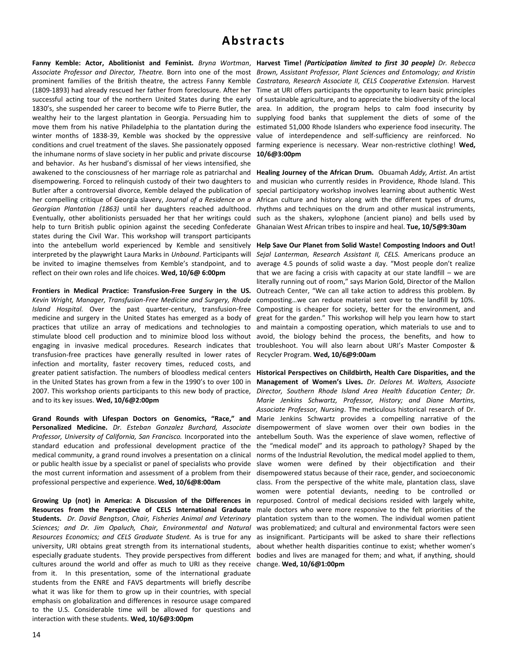prominent families of the British theatre, the actress Fanny Kemble successful acting tour of the northern United States during the early 1830's, she suspended her career to become wife to Pierre Butler, the wealthy heir to the largest plantation in Georgia. Persuading him to move them from his native Philadelphia to the plantation during the winter months of 1838-39, Kemble was shocked by the oppressive conditions and cruel treatment of the slaves. She passionately opposed the inhumane norms of slave society in her public and private discourse and behavior. As her husband's dismissal of her views intensified, she awakened to the consciousness of her marriage role as patriarchal and disempowering. Forced to relinquish custody of their two daughters to Butler after a controversial divorce, Kemble delayed the publication of her compelling critique of Georgia slavery, *Journal of a Residence on a Georgian Plantation (1863)* until her daughters reached adulthood. Eventually, other abolitionists persuaded her that her writings could help to turn British public opinion against the seceding Confederate states during the Civil War. This workshop will transport participants into the antebellum world experienced by Kemble and sensitively interpreted by the playwright Laura Marks in *Unbound*. Participants will be invited to imagine themselves from Kemble's standpoint, and to reflect on their own roles and life choices. **Wed, 10/6@ 6:00pm**

**Frontiers in Medical Practice: Transfusion-Free Surgery in the US.** *Kevin Wright, Manager, Transfusion-Free Medicine and Surgery, Rhode Island Hospital.* Over the past quarter-century, transfusion-free medicine and surgery in the United States has emerged as a body of practices that utilize an array of medications and technologies to stimulate blood cell production and to minimize blood loss without engaging in invasive medical procedures. Research indicates that transfusion-free practices have generally resulted in lower rates of infection and mortality, faster recovery times, reduced costs, and greater patient satisfaction. The numbers of bloodless medical centers in the United States has grown from a few in the 1990's to over 100 in 2007. This workshop orients participants to this new body of practice, and to its key issues. **Wed, 10/6@2:00pm**

**Grand Rounds with Lifespan Doctors on Genomics, "Race," and Personalized Medicine.** *Dr. Esteban Gonzalez Burchard, Associate Professor, University of California, San Francisco.* Incorporated into the standard education and professional development practice of the medical community, a grand round involves a presentation on a clinical or public health issue by a specialist or panel of specialists who provide the most current information and assessment of a problem from their professional perspective and experience. **Wed, 10/6@8:00am**

**Growing Up (not) in America: A Discussion of the Differences in Resources from the Perspective of CELS International Graduate Students.** *Dr. David Bengtson*, *Chair, Fisheries Animal and Veterinary Sciences; and Dr. Jim Opaluch, Chair, Environmental and Natural Resources Economics; and CELS Graduate Student.* As is true for any university, URI obtains great strength from its international students, especially graduate students. They provide perspectives from different cultures around the world and offer as much to URI as they receive change. **Wed, 10/6@1:00pm**from it. In this presentation, some of the international graduate students from the ENRE and FAVS departments will briefly describe what it was like for them to grow up in their countries, with special emphasis on globalization and differences in resource usage compared to the U.S. Considerable time will be allowed for questions and interaction with these students. **Wed, 10/6@3:00pm**

**Fanny Kemble: Actor, Abolitionist and Feminist.** *Bryna Wortman*, **Harvest Time!** *(Participation limited to first 30 people) Dr. Rebecca*  Associate Professor and Director, Theatre. Born into one of the most Brown, Assistant Professor, Plant Sciences and Entomology; and Kristin (1809-1893) had already rescued her father from foreclosure. After her Time at URI offers participants the opportunity to learn basic principles *Castrataro, Research Associate II, CELS Cooperative Extension.* Harvest of sustainable agriculture, and to appreciate the biodiversity of the local area. In addition, the program helps to calm food insecurity by supplying food banks that supplement the diets of some of the estimated 51,000 Rhode Islanders who experience food insecurity. The value of interdependence and self-sufficiency are reinforced. No farming experience is necessary. Wear non-restrictive clothing! **Wed, 10/6@3:00pm**

> **Healing Journey of the African Drum.** Obuamah *Addy, Artist. A*n artist and musician who currently resides in Providence, Rhode Island. This special participatory workshop involves learning about authentic West African culture and history along with the different types of drums, rhythms and techniques on the drum and other musical instruments, such as the shakers, xylophone (ancient piano) and bells used by Ghanaian West African tribes to inspire and heal. **Tue, 10/5@9:30am**

> **Help Save Our Planet from Solid Waste! Composting Indoors and Out!**  *Sejal Lanterman, Research Assistant II, CELS.* Americans produce an average 4.5 pounds of solid waste a day. "Most people don't realize that we are facing a crisis with capacity at our state landfill – we are literally running out of room," says Marion Gold, Director of the Mallon Outreach Center, "We can all take action to address this problem. By composting…we can reduce material sent over to the landfill by 10%. Composting is cheaper for society, better for the environment, and great for the garden." This workshop will help you learn how to start and maintain a composting operation, which materials to use and to avoid, the biology behind the process, the benefits, and how to troubleshoot. You will also learn about URI's Master Composter & Recycler Program. **Wed, 10/6@9:00am**

> **Historical Perspectives on Childbirth, Health Care Disparities, and the Management of Women's Lives.** *Dr. Delores M. Walters, Associate Director, Southern Rhode Island Area Health Education Center; Dr. Marie Jenkins Schwartz, Professor, History; and Diane Martins, Associate Professor, Nursing*. The meticulous historical research of Dr. Marie Jenkins Schwartz provides a compelling narrative of the disempowerment of slave women over their own bodies in the antebellum South. Was the experience of slave women, reflective of the "medical model" and its approach to pathology? Shaped by the norms of the Industrial Revolution, the medical model applied to them, slave women were defined by their objectification and their disempowered status because of their race, gender, and socioeconomic class. From the perspective of the white male, plantation class, slave women were potential deviants, needing to be controlled or repurposed. Control of medical decisions resided with largely white, male doctors who were more responsive to the felt priorities of the plantation system than to the women. The individual women patient was problematized; and cultural and environmental factors were seen as insignificant. Participants will be asked to share their reflections about whether health disparities continue to exist; whether women's bodies and lives are managed for them; and what, if anything, should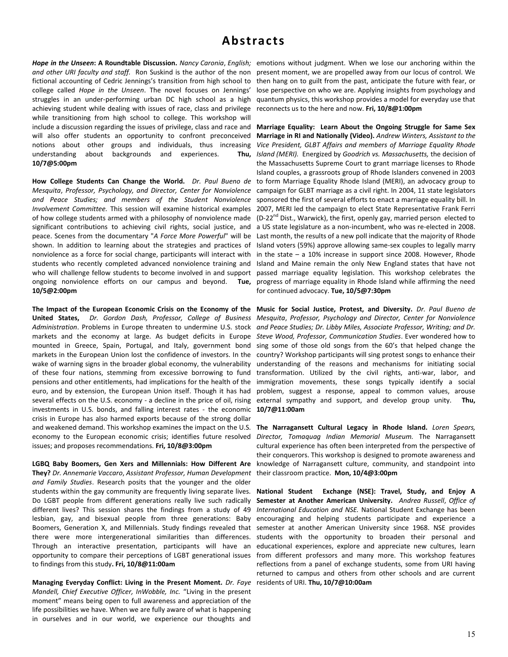*and other URI faculty and staff.* Ron Suskind is the author of the non fictional accounting of Cedric Jennings's transition from high school to college called *Hope in the Unseen*. The novel focuses on Jennings' struggles in an under-performing urban DC high school as a high achieving student while dealing with issues of race, class and privilege while transitioning from high school to college. This workshop will include a discussion regarding the issues of privilege, class and race and will also offer students an opportunity to confront preconceived notions about other groups and individuals, thus increasing understanding about backgrounds and experiences. **Thu, 10/7@5:00pm**

**How College Students Can Change the World.** *Dr. Paul Bueno de Mesquita*, *Professor, Psychology, and Director, Center for Nonviolence and Peace Studies; and members of the Student Nonviolence Involvement Committee.* This session will examine historical examples of how college students armed with a philosophy of nonviolence made significant contributions to achieving civil rights, social justice, and peace. Scenes from the documentary "*A Force More Powerful*" will be shown. In addition to learning about the strategies and practices of nonviolence as a force for social change, participants will interact with students who recently completed advanced nonviolence training and who will challenge fellow students to become involved in and support ongoing nonviolence efforts on our campus and beyond. **Tue, 10/5@2:00pm**

markets and the economy at large. As budget deficits in Europe mounted in Greece, Spain, Portugal, and Italy, government bond markets in the European Union lost the confidence of investors. In the wake of warning signs in the broader global economy, the vulnerability of these four nations, stemming from excessive borrowing to fund pensions and other entitlements, had implications for the health of the euro, and by extension, the European Union itself. Though it has had several effects on the U.S. economy - a decline in the price of oil, rising investments in U.S. bonds, and falling interest rates - the economic crisis in Europe has also harmed exports because of the strong dollar and weakened demand. This workshop examines the impact on the U.S. economy to the European economic crisis; identifies future resolved issues; and proposes recommendations. **Fri, 10/8@3:00pm**

**LGBQ Baby Boomers, Gen Xers and Millennials: How Different Are They?** *Dr. Annemarie Vaccaro*, *Assistant Professor, Human Development and Family Studies*. Research posits that the younger and the older students within the gay community are frequently living separate lives. Do LGBT people from different generations really live such radically different lives? This session shares the findings from a study of 49 lesbian, gay, and bisexual people from three generations: Baby Boomers, Generation X, and Millennials. Study findings revealed that there were more intergenerational similarities than differences. Through an interactive presentation, participants will have an opportunity to compare their perceptions of LGBT generational issues to findings from this study**. Fri, 10/8@11:00am**

**Managing Everyday Conflict: Living in the Present Moment.** *Dr. Faye*  residents of URI. **Thu, 10/7@10:00am***Mandell, Chief Executive Officer, InWobble, Inc.* "Living in the present moment" means being open to full awareness and appreciation of the life possibilities we have. When we are fully aware of what is happening in ourselves and in our world, we experience our thoughts and

Hope in the Unseen: A Roundtable Discussion. Nancy Caronia, English; emotions without judgment. When we lose our anchoring within the present moment, we are propelled away from our locus of control. We then hang on to guilt from the past, anticipate the future with fear, or lose perspective on who we are. Applying insights from psychology and quantum physics, this workshop provides a model for everyday use that reconnects us to the here and now. **Fri, 10/8@1:00pm**

> **Marriage Equality: Learn About the Ongoing Struggle for Same Sex Marriage in RI and Nationally (Video).** *Andrew Winters, Assistant to the Vice President, GLBT Affairs and members of Marriage Equality Rhode Island (MERI).* Energized by *Goodrich vs. Massachusetts,* the decision of the Massachusetts Supreme Court to grant marriage licenses to Rhode Island couples, a grassroots group of Rhode Islanders convened in 2003 to form Marriage Equality Rhode Island (MERI), an advocacy group to campaign for GLBT marriage as a civil right. In 2004, 11 state legislators sponsored the first of several efforts to enact a marriage equality bill. In 2007, MERI led the campaign to elect State Representative Frank Ferri (D-22<sup>nd</sup> Dist., Warwick), the first, openly gay, married person elected to a US state legislature as a non-incumbent, who was re-elected in 2008. Last month, the results of a new poll indicate that the majority of Rhode Island voters (59%) approve allowing same-sex couples to legally marry in the state – a 10% increase in support since 2008. However, Rhode Island and Maine remain the only New England states that have not passed marriage equality legislation. This workshop celebrates the progress of marriage equality in Rhode Island while affirming the need for continued advocacy. **Tue, 10/5@7:30pm**

**The Impact of the European Economic Crisis on the Economy of the Music for Social Justice, Protest, and Diversity.** *Dr. Paul Bueno de*  United States, Dr. Gordon Dash, Professor, College of Business Mesquita, Professor, Psychology and Director, Center for Nonviolence Administration. Problems in Europe threaten to undermine U.S. stock and Peace Studies; Dr. Libby Miles, Associate Professor, Writing; and Dr. *Steve Wood, Professor, Communication Studies*. Ever wondered how to sing some of those old songs from the 60's that helped change the country? Workshop participants will sing protest songs to enhance their understanding of the reasons and mechanisms for initiating social transformation. Utilized by the civil rights, anti-war, labor, and immigration movements, these songs typically identify a social problem, suggest a response, appeal to common values, arouse external sympathy and support, and develop group unity. **Thu, 10/7@11:00am**

> **The Narragansett Cultural Legacy in Rhode Island.** *Loren Spears, Director, Tomaquag Indian Memorial Museum.* The Narragansett cultural experience has often been interpreted from the perspective of their conquerors. This workshop is designed to promote awareness and knowledge of Narragansett culture, community, and standpoint into their classroom practice. **Mon, 10/4@3:00pm**

> **National Student Exchange (NSE): Travel, Study, and Enjoy A Semester at Another American University.** *Andrea Russell*, *Office of International Education and NSE.* National Student Exchange has been encouraging and helping students participate and experience a semester at another American University since 1968. NSE provides students with the opportunity to broaden their personal and educational experiences, explore and appreciate new cultures, learn from different professors and many more. This workshop features reflections from a panel of exchange students, some from URI having returned to campus and others from other schools and are current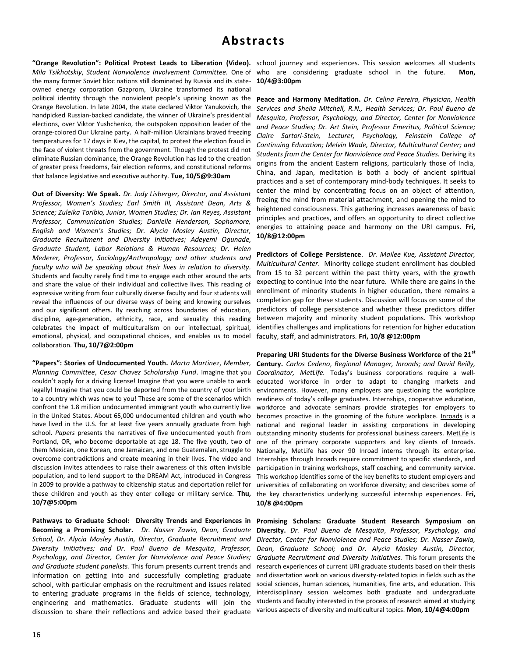*Mila Tsikhotskiy*, *Student Nonviolence Involvement Committee.* One of who are considering graduate school in the future. **Mon,**  the many former Soviet bloc nations still dominated by Russia and its stateowned energy corporation Gazprom, Ukraine transformed its national political identity through the nonviolent people's uprising known as the **Peace and Harmony Meditation.** *Dr. Celina Pereira, Physician, Health*  Orange Revolution. In late 2004, the state declared Viktor Yanukovich, the handpicked Russian-backed candidate, the winner of Ukraine's presidential elections, over Viktor Yushchenko, the outspoken opposition leader of the orange-colored Our Ukraine party. A half-million Ukrainians braved freezing temperatures for 17 days in Kiev, the capital, to protest the election fraud in the face of violent threats from the government. Though the protest did not eliminate Russian dominance, the Orange Revolution has led to the creation of greater press freedoms, fair election reforms, and constitutional reforms that balance legislative and executive authority. **Tue, 10/5@9:30am** 

**Out of Diversity: We Speak.** *Dr. Jody Lisberger, Director, and Assistant Professor, Women's Studies; Earl Smith III, Assistant Dean, Arts & Science; Zuleika Toribio, Junior, Women Studies; Dr. Ian Reyes, Assistant Professor, Communication Studies; Danielle Henderson, Sophomore, English and Women's Studies; Dr. Alycia Mosley Austin, Director, Graduate Recruitment and Diversity Initiatives; Adeyemi Ogunade, Graduate Student, Labor Relations & Human Resources; Dr. Helen Mederer, Professor, Sociology/Anthropology; and other students and faculty who will be speaking about their lives in relation to diversity.*  Students and faculty rarely find time to engage each other around the arts and share the value of their individual and collective lives. This reading of expressive writing from four culturally diverse faculty and four students will reveal the influences of our diverse ways of being and knowing ourselves and our significant others. By reaching across boundaries of education, discipline, age-generation, ethnicity, race, and sexuality this reading celebrates the impact of multiculturalism on our intellectual, spiritual, emotional, physical, and occupational choices, and enables us to model collaboration. **Thu, 10/7@2:00pm**

**"Papers": Stories of Undocumented Youth.** *Marta Martinez*, *Member, Planning Committee*, *Cesar Chavez Scholarship Fund*. Imagine that you couldn't apply for a driving license! Imagine that you were unable to work legally! Imagine that you could be deported from the country of your birth to a country which was new to you! These are some of the scenarios which confront the 1.8 million undocumented immigrant youth who currently live in the United States. About 65,000 undocumented children and youth who have lived in the U.S. for at least five years annually graduate from high school. *Papers* presents the narratives of five undocumented youth from Portland, OR, who become deportable at age 18. The five youth, two of them Mexican, one Korean, one Jamaican, and one Guatemalan, struggle to overcome contradictions and create meaning in their lives. The video and discussion invites attendees to raise their awareness of this often invisible population, and to lend support to the DREAM Act, introduced in Congress in 2009 to provide a pathway to citizenship status and deportation relief for these children and youth as they enter college or military service. **Thu, 10/7@5:00pm**

**Pathways to Graduate School: Diversity Trends and Experiences in Becoming a Promising Scholar***. Dr. Nasser Zawia, Dean, Graduate School, Dr. Alycia Mosley Austin, Director, Graduate Recruitment and Diversity Initiatives; and Dr. Paul Bueno de Mesquita*, *Professor, Psychology, and Director, Center for Nonviolence and Peace Studies; and Graduate student panelists.* This forum presents current trends and information on getting into and successfully completing graduate school, with particular emphasis on the recruitment and issues related to entering graduate programs in the fields of science, technology, engineering and mathematics. Graduate students will join the discussion to share their reflections and advice based their graduate

**"Orange Revolution": Political Protest Leads to Liberation (Video).**  school journey and experiences. This session welcomes all students **10/4@3:00pm**

> *Services and Sheila Mitchell, R.N., Health Services; Dr. Paul Bueno de Mesquita*, *Professor, Psychology, and Director, Center for Nonviolence and Peace Studies; Dr. Art Stein, Professor Emeritus, Political Science; Claire Sartori-Stein, Lecturer, Psychology, Feinstein College of Continuing Education; Melvin Wade, Director, Multicultural Center; and Students from the Center for Nonviolence and Peace Studies.* Deriving its origins from the ancient Eastern religions, particularly those of India, China, and Japan, meditation is both a body of ancient spiritual practices and a set of contemporary mind-body techniques. It seeks to center the mind by concentrating focus on an object of attention, freeing the mind from material attachment, and opening the mind to heightened consciousness. This gathering increases awareness of basic principles and practices, and offers an opportunity to direct collective energies to attaining peace and harmony on the URI campus. **Fri, 10/8@12:00pm**

> **Predictors of College Persistence**. *Dr. Mailee Kue, Assistant Director, Multicultural Center*. Minority college student enrollment has doubled from 15 to 32 percent within the past thirty years, with the growth expecting to continue into the near future. While there are gains in the enrollment of minority students in higher education, there remains a completion gap for these students. Discussion will focus on some of the predictors of college persistence and whether these predictors differ between majority and minority student populations. This workshop identifies challenges and implications for retention for higher education faculty, staff, and administrators. **Fri, 10/8 @12:00pm**

> **Preparing URI Students for the Diverse Business Workforce of the 21st Century.** *Carlos Cedeno*, *Regional Manager, Inroads; and David Reilly, Coordinator, MetLife.* Today's business corporations require a welleducated workforce in order to adapt to changing markets and environments. However, many employers are questioning the workplace readiness of today's college graduates. Internships, cooperative education, workforce and advocate seminars provide strategies for employers to becomes proactive in the grooming of the future workplace. Inroads is a national and regional leader in assisting corporations in developing outstanding minority students for professional business careers. MetLife is one of the primary corporate supporters and key clients of Inroads. Nationally, MetLife has over 90 Inroad interns through its enterprise. Internships through Inroads require commitment to specific standards, and participation in training workshops, staff coaching, and community service. This workshop identifies some of the key benefits to student employers and universities of collaborating on workforce diversity; and describes some of the key characteristics underlying successful internship experiences. **Fri, 10/8 @4:00pm**

> **Promising Scholars: Graduate Student Research Symposium on Diversity.** *Dr. Paul Bueno de Mesquita*, *Professor, Psychology, and Director, Center for Nonviolence and Peace Studies; Dr. Nasser Zawia, Dean, Graduate School; and Dr. Alycia Mosley Austin, Director, Graduate Recruitment and Diversity Initiatives.* This forum presents the research experiences of current URI graduate students based on their thesis and dissertation work on various diversity-related topics in fields such as the social sciences, human sciences, humanities, fine arts, and education. This interdisciplinary session welcomes both graduate and undergraduate students and faculty interested in the process of research aimed at studying various aspects of diversity and multicultural topics. **Mon, 10/4@4:00pm**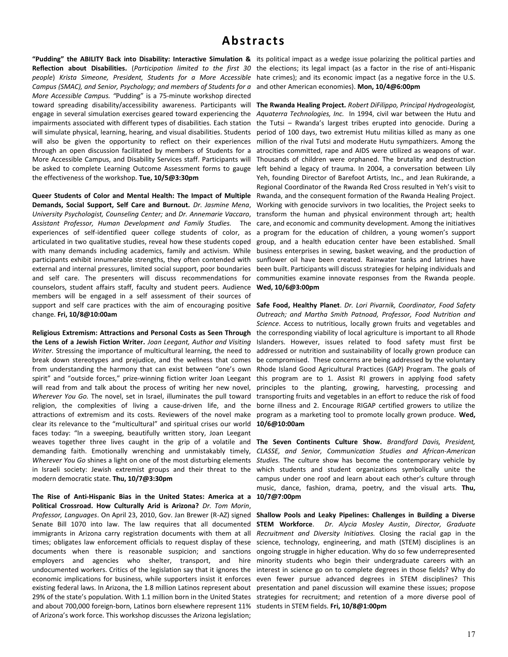"Pudding" the ABILITY Back into Disability: Interactive Simulation & its political impact as a wedge issue polarizing the political parties and Reflection about Disabilities. (Participation limited to the first 30 the elections; its legal impact (as a factor in the rise of anti-Hispanic people) Krista Simeone, President, Students for a More Accessible hate crimes); and its economic impact (as a negative force in the U.S. *Campus (SMAC), and Senior, Psychology; and members of Students for a More Accessible Campus. "*Pudding" is a 75-minute workshop directed toward spreading disability/accessibility awareness. Participants will engage in several simulation exercises geared toward experiencing the impairments associated with different types of disabilities. Each station will simulate physical, learning, hearing, and visual disabilities. Students will also be given the opportunity to reflect on their experiences through an open discussion facilitated by members of Students for a More Accessible Campus, and Disability Services staff. Participants will be asked to complete Learning Outcome Assessment forms to gauge the effectiveness of the workshop. **Tue, 10/5@3:30pm**

**Queer Students of Color and Mental Health: The Impact of Multiple Demands, Social Support, Self Care and Burnout.** *Dr. Jasmine Mena*, *University Psychologist, Counseling Center;* and *Dr. Annemarie Vaccaro*, *Assistant Professor, Human Development and Family Studies.* The experiences of self-identified queer college students of color, as articulated in two qualitative studies, reveal how these students coped with many demands including academics, family and activism. While participants exhibit innumerable strengths, they often contended with external and internal pressures, limited social support, poor boundaries and self care. The presenters will discuss recommendations for counselors, student affairs staff, faculty and student peers. Audience members will be engaged in a self assessment of their sources of change. **Fri, 10/8@10:00am**

**Religious Extremism: Attractions and Personal Costs as Seen Through the Lens of a Jewish Fiction Writer.** *Joan Leegant, Author and Visiting Writer.* Stressing the importance of multicultural learning, the need to break down stereotypes and prejudice, and the wellness that comes from understanding the harmony that can exist between "one's own will read from and talk about the process of writing her new novel, *Wherever You Go.* The novel, set in Israel, illuminates the pull toward religion, the complexities of living a cause-driven life, and the attractions of extremism and its costs. Reviewers of the novel make clear its relevance to the "multicultural" and spiritual crises our world faces today: "In a sweeping, beautifully written story, Joan Leegant demanding faith. Emotionally wrenching and unmistakably timely, *Wherever You Go* shines a light on one of the most disturbing elements in Israeli society: Jewish extremist groups and their threat to the modern democratic state. **Thu, 10/7@3:30pm**

**The Rise of Anti-Hispanic Bias in the United States: America at a Political Crossroad. How Culturally Arid is Arizona?** *Dr. Tom Morin*, *Professor, Languages*. On April 23, 2010, Gov. Jan Brewer (R-AZ) signed **Shallow Pools and Leaky Pipelines: Challenges in Building a Diverse**  Senate Bill 1070 into law. The law requires that all documented immigrants in Arizona carry registration documents with them at all times; obligates law enforcement officials to request display of these documents when there is reasonable suspicion; and sanctions employers and agencies who shelter, transport, and hire undocumented workers. Critics of the legislation say that it ignores the economic implications for business, while supporters insist it enforces existing federal laws. In Arizona, the 1.8 million Latinos represent about presentation and panel discussion will examine these issues; propose 29% of the state's population. With 1.1 million born in the United States strategies for recruitment; and retention of a more diverse pool of and about 700,000 foreign-born, Latinos born elsewhere represent 11% students in STEM fields. **Fri, 10/8@1:00pm**of Arizona's work force. This workshop discusses the Arizona legislation;

and other American economies). **Mon, 10/4@6:00pm**

**The Rwanda Healing Project.** *Robert DiFilippo, Principal Hydrogeologist, Aquaterra Technologies, Inc.* In 1994, civil war between the Hutu and the Tutsi – Rwanda's largest tribes erupted into genocide. During a period of 100 days, two extremist Hutu militias killed as many as one million of the rival Tutsi and moderate Hutu sympathizers. Among the atrocities committed, rape and AIDS were utilized as weapons of war. Thousands of children were orphaned. The brutality and destruction left behind a legacy of trauma. In 2004, a conversation between Lily Yeh, founding Director of Barefoot Artists, Inc., and Jean Rukirande, a Regional Coordinator of the Rwanda Red Cross resulted in Yeh's visit to Rwanda, and the consequent formation of the Rwanda Healing Project. Working with genocide survivors in two localities, the Project seeks to transform the human and physical environment through art; health care, and economic and community development. Among the initiatives a program for the education of children, a young women's support group, and a health education center have been established. Small business enterprises in sewing, basket weaving, and the production of sunflower oil have been created. Rainwater tanks and latrines have been built. Participants will discuss strategies for helping individuals and communities examine innovate responses from the Rwanda people. **Wed, 10/6@3:00pm**

support and self care practices with the aim of encouraging positive Safe Food, Healthy Planet. Dr. Lori Pivarnik, Coordinator, Food Safety spirit" and "outside forces," prize-winning fiction writer Joan Leegant this program are to 1. Assist RI growers in applying food safety *Outreach; and Martha Smith Patnoad, Professor, Food Nutrition and Science*. Access to nutritious, locally grown fruits and vegetables and the corresponding viability of local agriculture is important to all Rhode Islanders. However, issues related to food safety must first be addressed or nutrition and sustainability of locally grown produce can be compromised. These concerns are being addressed by the voluntary Rhode Island Good Agricultural Practices (GAP) Program. The goals of principles to the planting, growing, harvesting, processing and transporting fruits and vegetables in an effort to reduce the risk of food borne illness and 2. Encourage RIGAP certified growers to utilize the program as a marketing tool to promote locally grown produce. **Wed, 10/6@10:00am**

weaves together three lives caught in the grip of a volatile and The Seven Continents Culture Show. Brandford Davis, President, *CLASSE, and Senior, Communication Studies and African-American Studies.* The culture show has become the contemporary vehicle by which students and student organizations symbolically unite the campus under one roof and learn about each other's culture through music, dance, fashion, drama, poetry, and the visual arts. **Thu, 10/7@7:00pm**

> **STEM Workforce**. *Dr. Alycia Mosley Austin*, *Director, Graduate Recruitment and Diversity Initiatives.* Closing the racial gap in the science, technology, engineering, and math (STEM) disciplines is an ongoing struggle in higher education. Why do so few underrepresented minority students who begin their undergraduate careers with an interest in science go on to complete degrees in those fields? Why do even fewer pursue advanced degrees in STEM disciplines? This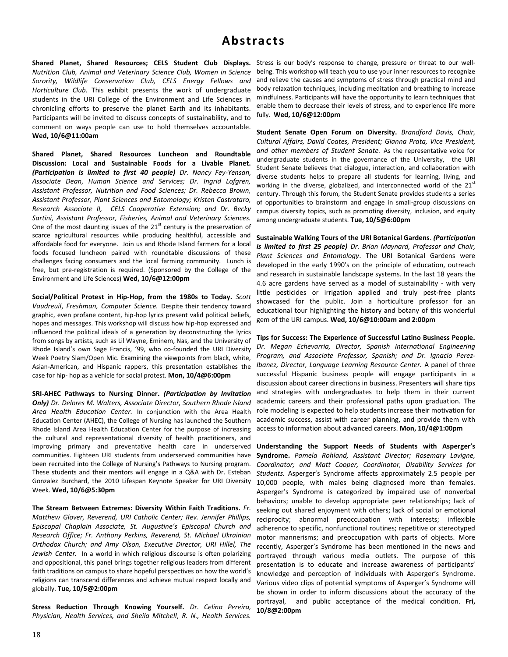Shared Planet, Shared Resources; CELS Student Club Displays. Stress is our body's response to change, pressure or threat to our well-*Nutrition Club, Animal and Veterinary Science Club, Women in Science Sorority, Wildlife Conservation Club, CELS Energy Fellows and Horticulture Club.* This exhibit presents the work of undergraduate students in the URI College of the Environment and Life Sciences in chronicling efforts to preserve the planet Earth and its inhabitants. Participants will be invited to discuss concepts of sustainability, and to comment on ways people can use to hold themselves accountable. **Wed, 10/6@11:00am**

**Shared Planet, Shared Resources Luncheon and Roundtable Discussion: Local and Sustainable Foods for a Livable Planet.**  *(Participation is limited to first 40 people) Dr. Nancy Fey-Yensan, Associate Dean, Human Science and Services; Dr. Ingrid Lofgren, Assistant Professor, Nutrition and Food Sciences; Dr. Rebecca Brown, Assistant Professor, Plant Sciences and Entomology; Kristen Castrataro, Research Associate II, CELS Cooperative Extension; and Dr. Becky Sartini, Assistant Professor, Fisheries, Animal and Veterinary Sciences.*  One of the most daunting issues of the  $21<sup>st</sup>$  century is the preservation of scarce agricultural resources while producing healthful, accessible and affordable food for everyone. Join us and Rhode Island farmers for a local foods focused luncheon paired with roundtable discussions of these challenges facing consumers and the local farming community. Lunch is free, but pre-registration is required. (Sponsored by the College of the Environment and Life Sciences) **Wed, 10/6@12:00pm**

**Social/Political Protest in Hip-Hop, from the 1980s to Today.** *Scott Vaudreuil*, *Freshman, Computer Science.* Despite their tendency toward graphic, even profane content, hip-hop lyrics present valid political beliefs, hopes and messages. This workshop will discuss how hip-hop expressed and influenced the political ideals of a generation by deconstructing the lyrics from songs by artists, such as Lil Wayne, Eminem, Nas, and the University of Rhode Island's own Sage Francis, '99, who co-founded the URI Diversity Week Poetry Slam/Open Mic. Examining the viewpoints from black, white, Asian-American, and Hispanic rappers, this presentation establishes the case for hip- hop as a vehicle for social protest. **Mon, 10/4@6:00pm**

**SRI-AHEC Pathways to Nursing Dinner.** *(Participation by Invitation Only) Dr. Delores M. Walters, Associate Director, Southern Rhode Island Area Health Education Center.* In conjunction with the Area Health Education Center (AHEC), the College of Nursing has launched the Southern Rhode Island Area Health Education Center for the purpose of increasing the cultural and representational diversity of health practitioners, and improving primary and preventative health care in underserved communities. Eighteen URI students from underserved communities have been recruited into the College of Nursing's Pathways to Nursing program. These students and their mentors will engage in a Q&A with Dr. Esteban Gonzalez Burchard, the 2010 Lifespan Keynote Speaker for URI Diversity Week. **Wed, 10/6@5:30pm**

**The Stream Between Extremes: Diversity Within Faith Traditions.** *Fr. Matthew Glover, Reverend, URI Catholic Center; Rev. Jennifer Phillips, Episcopal Chaplain Associate, St. Augustine's Episcopal Church and Research Office; Fr. Anthony Perkins, Reverend, St. Michael Ukrainian Orthodox Church; and Amy Olson, Executive Director, URI Hillel, The Jewish Center.* In a world in which religious discourse is often polarizing and oppositional, this panel brings together religious leaders from different faith traditions on campus to share hopeful perspectives on how the world's religions can transcend differences and achieve mutual respect locally and globally. **Tue, 10/5@2:00pm**

**Stress Reduction Through Knowing Yourself.** *Dr. Celina Pereira, Physician, Health Services, and Sheila Mitchell*, *R. N., Health Services.* 

being. This workshop will teach you to use your inner resources to recognize and relieve the causes and symptoms of stress through practical mind and body relaxation techniques, including meditation and breathing to increase mindfulness. Participants will have the opportunity to learn techniques that enable them to decrease their levels of stress, and to experience life more fully. **Wed, 10/6@12:00pm**

**Student Senate Open Forum on Diversity.** *Brandford Davis, Chair, Cultural Affairs, David Coates, President; Gianna Prata, Vice President, and other members of Student Senate.* As the representative voice for undergraduate students in the governance of the University, the URI Student Senate believes that dialogue, interaction, and collaboration with diverse students helps to prepare all students for learning, living, and working in the diverse, globalized, and interconnected world of the  $21<sup>st</sup>$ century. Through this forum, the Student Senate provides students a series of opportunities to brainstorm and engage in small-group discussions on campus diversity topics, such as promoting diversity, inclusion, and equity among undergraduate students. **Tue, 10/5@6:00pm**

**Sustainable Walking Tours of the URI Botanical Gardens**. *(Participation is limited to first 25 people) Dr. Brian Maynard, Professor and Chair, Plant Sciences and Entomology*. The URI Botanical Gardens were developed in the early 1990's on the principle of education, outreach and research in sustainable landscape systems. In the last 18 years the 4.6 acre gardens have served as a model of sustainability - with very little pesticides or irrigation applied and truly pest-free plants showcased for the public. Join a horticulture professor for an educational tour highlighting the history and botany of this wonderful gem of the URI campus. **Wed, 10/6@10:00am and 2:00pm**

**Tips for Success: The Experience of Successful Latino Business People.**  *Dr. Megan Echevarria, Director, Spanish International Engineering Program, and Associate Professor, Spanish; and Dr. Ignacio Perez-Ibanez, Director, Language Learning Resource Center.* A panel of three successful Hispanic business people will engage participants in a discussion about career directions in business. Presenters will share tips and strategies with undergraduates to help them in their current academic careers and their professional paths upon graduation. The role modeling is expected to help students increase their motivation for academic success, assist with career planning, and provide them with access to information about advanced careers. **Mon, 10/4@1:00pm**

**Understanding the Support Needs of Students with Asperger's Syndrome.** *Pamela Rohland, Assistant Director; Rosemary Lavigne, Coordinator; and Matt Cooper, Coordinator, Disability Services for Students.* Asperger's Syndrome affects approximately 2.5 people per 10,000 people, with males being diagnosed more than females. Asperger's Syndrome is categorized by impaired use of nonverbal behaviors; unable to develop appropriate peer relationships; lack of seeking out shared enjoyment with others; lack of social or emotional reciprocity; abnormal preoccupation with interests; inflexible adherence to specific, nonfunctional routines; repetitive or stereotyped motor mannerisms; and preoccupation with parts of objects. More recently, Asperger's Syndrome has been mentioned in the news and portrayed through various media outlets. The purpose of this presentation is to educate and increase awareness of participants' knowledge and perception of individuals with Asperger's Syndrome. Various video clips of potential symptoms of Asperger's Syndrome will be shown in order to inform discussions about the accuracy of the portrayal, and public acceptance of the medical condition. **Fri, 10/8@2:00pm**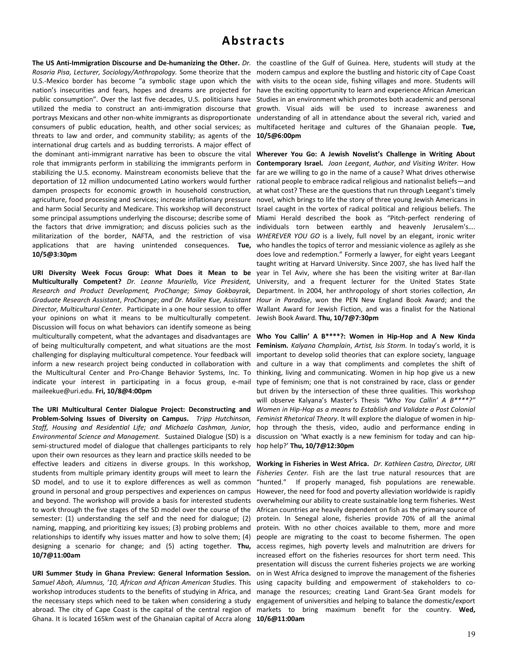The US Anti-Immigration Discourse and De-humanizing the Other. *Dr.* the coastline of the Gulf of Guinea. Here, students will study at the U.S.-Mexico border has become "a symbolic stage upon which the portrays Mexicans and other non-white immigrants as disproportionate consumers of public education, health, and other social services; as threats to law and order, and community stability; as agents of the international drug cartels and as budding terrorists. A major effect of the dominant anti-immigrant narrative has been to obscure the vital role that immigrants perform in stabilizing the immigrants perform in stabilizing the U.S. economy. Mainstream economists believe that the deportation of 12 million undocumented Latino workers would further dampen prospects for economic growth in household construction, agriculture, food processing and services; increase inflationary pressure and harm Social Security and Medicare. This workshop will deconstruct some principal assumptions underlying the discourse; describe some of the factors that drive immigration; and discuss policies such as the militarization of the border, NAFTA, and the restriction of visa applications that are having unintended consequences. **Tue, 10/5@3:30pm**

**URI Diversity Week Focus Group: What Does it Mean to be Multiculturally Competent?** *Dr. Leanne Mauriello, Vice President, Research and Product Development, ProChange; Simay Gokbayrak, Director, Multicultural Center.* Participate in a one hour session to offer your opinions on what it means to be multiculturally competent. Discussion will focus on what behaviors can identify someone as being multiculturally competent, what the advantages and disadvantages are of being multiculturally competent, and what situations are the most challenging for displaying multicultural competence. Your feedback will inform a new research project being conducted in collaboration with the Multicultural Center and Pro-Change Behavior Systems, Inc. To indicate your interest in participating in a focus group, e-mail [maileekue@uri.edu.](mailto:maileekue@uri.edu) **Fri, 10/8@4:00pm**

**The URI Multicultural Center Dialogue Project: Deconstructing and Problem-Solving Issues of Diversity on Campus.** *Tripp Hutchinson, Staff, Housing and Residential Life; and Michaela Cashman, Junior, Environmental Science and Management.* Sustained Dialogue (SD) is a semi-structured model of dialogue that challenges participants to rely upon their own resources as they learn and practice skills needed to be effective leaders and citizens in diverse groups. In this workshop, students from multiple primary identity groups will meet to learn the SD model, and to use it to explore differences as well as common ground in personal and group perspectives and experiences on campus and beyond. The workshop will provide a basis for interested students to work through the five stages of the SD model over the course of the semester: (1) understanding the self and the need for dialogue; (2) naming, mapping, and prioritizing key issues; (3) probing problems and relationships to identify why issues matter and how to solve them; (4) designing a scenario for change; and (5) acting together. **Thu, 10/7@11:00am**

**URI Summer Study in Ghana Preview: General Information Session.**  *Samuel Aboh, Alumnus, '10, African and African American Studies.* This workshop introduces students to the benefits of studying in Africa, and the necessary steps which need to be taken when considering a study abroad. The city of Cape Coast is the capital of the central region of Ghana. It is located 165km west of the Ghanaian capital of Accra along **10/6@11:00am**

Rosaria Pisa, Lecturer, Sociology/Anthropology. Some theorize that the modern campus and explore the bustling and historic city of Cape Coast nation's insecurities and fears, hopes and dreams are projected for have the exciting opportunity to learn and experience African American public consumption". Over the last five decades, U.S. politicians have Studies in an environment which promotes both academic and personal utilized the media to construct an anti-immigration discourse that growth. Visual aids will be used to increase awareness and with visits to the ocean side, fishing villages and more. Students will understanding of all in attendance about the several rich, varied and multifaceted heritage and cultures of the Ghanaian people. **Tue, 10/5@6:00pm**

*Graduate Research Assistant*, *ProChange*; *and Dr. Mailee Kue, Assistant Hour in Paradise*, won the PEN New England Book Award; and the **Wherever You Go: A Jewish Novelist's Challenge in Writing About Contemporary Israel.** *Joan Leegant*, *Author, and Visiting Writer.* How far are we willing to go in the name of a cause? What drives otherwise rational people to embrace radical religious and nationalist beliefs—and at what cost? These are the questions that run through Leegant's timely novel, which brings to life the story of three young Jewish Americans in Israel caught in the vortex of radical political and religious beliefs. The Miami Herald described the book as "Pitch-perfect rendering of individuals torn between earthly and heavenly Jerusalem's…. *WHEREVER YOU GO* is a lively, full novel by an elegant, ironic writer who handles the topics of terror and messianic violence as agilely as she does love and redemption." Formerly a lawyer, for eight years Leegant taught writing at Harvard University. Since 2007, she has lived half the year in Tel Aviv, where she has been the visiting writer at Bar-Ilan University, and a frequent lecturer for the United States State Department. In 2004, her anthropology of short stories collection, *An*  Wallant Award for Jewish Fiction, and was a finalist for the National Jewish Book Award. **Thu, 10/7@7:30pm**

> **Who You Callin' A B\*\*\*\*?: Women in Hip-Hop and A New Kinda Feminism.** *Kalyana Champlain*, *Artist, Isis Storm.* In today's world, it is important to develop solid theories that can explore society, language and culture in a way that compliments and completes the shift of thinking, living and communicating. Women in hip hop give us a new type of feminism; one that is not constrained by race, class or gender but driven by the intersection of these three qualities. This workshop will observe Kalyana's Master's Thesis *"Who You Callin' A B\*\*\*\*?" Women in Hip-Hop as a means to Establish and Validate a Post Colonial Feminist Rhetorical Theory*. It will explore the dialogue of women in hiphop through the thesis, video, audio and performance ending in discussion on 'What exactly is a new feminism for today and can hiphop help?' **Thu, 10/7@12:30pm**

> **Working in Fisheries in West Africa.** *Dr. Kathleen Castro, Director, URI Fisheries Center.* Fish are the last true natural resources that are "hunted." If properly managed, fish populations are renewable. However, the need for food and poverty alleviation worldwide is rapidly overwhelming our ability to create sustainable long term fisheries. West African countries are heavily dependent on fish as the primary source of protein. In Senegal alone, fisheries provide 70% of all the animal protein. With no other choices available to them, more and more people are migrating to the coast to become fishermen. The open access regimes, high poverty levels and malnutrition are drivers for increased effort on the fisheries resources for short term need. This presentation will discuss the current fisheries projects we are working on in West Africa designed to improve the management of the fisheries using capacity building and empowerment of stakeholders to comanage the resources; creating Land Grant-Sea Grant models for engagement of universities and helping to balance the domestic/export markets to bring maximum benefit for the country. **Wed,**